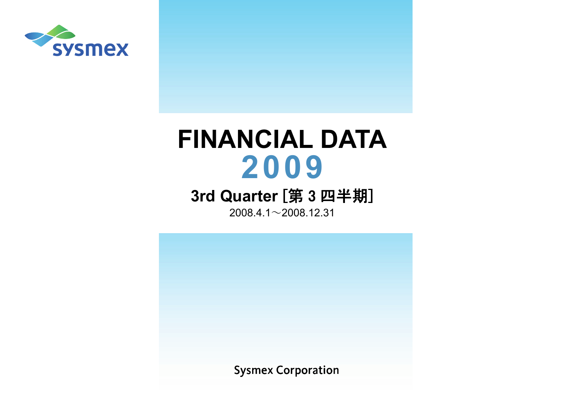

# **FINANCIAL DATA** 2009

## 3rd Quarter [第3四半期]

 $2008.4.1 \sim 2008.12.31$ 

**Sysmex Corporation**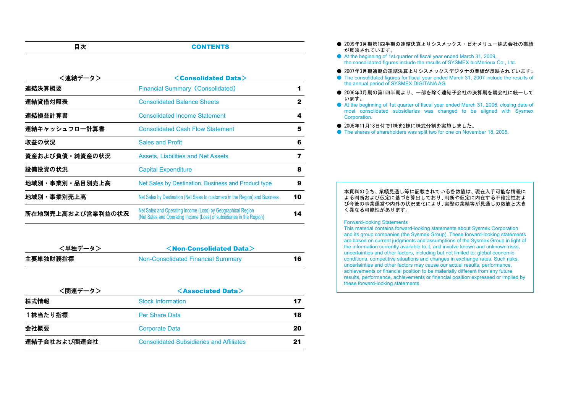#### **CONTENTS**

| <連結データ>           | $\leq$ Consolidated Data $>$                                                                                                          |    |
|-------------------|---------------------------------------------------------------------------------------------------------------------------------------|----|
| 連結決算概要            | <b>Financial Summary (Consolidated)</b>                                                                                               |    |
| 連結貸借対照表           | <b>Consolidated Balance Sheets</b>                                                                                                    | 2  |
| 連結損益計算書           | <b>Consolidated Income Statement</b>                                                                                                  | 4  |
| 連結キャッシュフロ一計算書     | <b>Consolidated Cash Flow Statement</b>                                                                                               | 5  |
| 収益の状況             | <b>Sales and Profit</b>                                                                                                               | 6  |
| 資産および負債・純資産の状況    | Assets, Liabilities and Net Assets                                                                                                    | 7  |
| 設備投資の状況           | <b>Capital Expenditure</b>                                                                                                            | 8  |
| 地域別・事業別・品目別売上高    | Net Sales by Destination, Business and Product type                                                                                   | 9  |
| 地域別・事業別売上高        | Net Sales by Destination (Net Sales to customers in the Region) and Business                                                          | 10 |
| 所在地別売上高および営業利益の状況 | Net Sales and Operating Income (Loss) by Geographical Region<br>(Net Sales and Operating Income (Loss) of subsidiaries in the Region) | 14 |

| <単独データ>  | $\le$ Non-Consolidated Data $>$    |    |
|----------|------------------------------------|----|
| 主要単独財務指標 | Non-Consolidated Financial Summary | 16 |

| <関連データ>      | $\leq$ Associated Data $>$                      |    |
|--------------|-------------------------------------------------|----|
| 株式情報         | <b>Stock Information</b>                        | 17 |
| 1株当たり指標      | <b>Per Share Data</b>                           | 18 |
| 会社概要         | <b>Corporate Data</b>                           | 20 |
| 連結子会社および関連会社 | <b>Consolidated Subsidiaries and Affiliates</b> | 21 |

- 2009年3月期第1四半期の連結決算よりシスメックス・ビオメリュー株式会社の業績 が反映されています。
- At the beginning of 1st quarter of fiscal year ended March 31, 2009, the consolidated figures include the results of SYSMEX bioMerieux Co., Ltd.
- 2007年3月期通期の連結決算よりシスメックスデジタナの業績が反映されています。
- The consolidated figures for fiscal year ended March 31, 2007 include the results of the annual period of SYSMEX DIGITANA AG.
- 2006年3月期の第1四半期より、一部を除く連結子会社の決算期を親会社に統一して います。
- At the beginning of 1st quarter of fiscal year ended March 31, 2006, closing date of most consolidated subsidiaries was changed to be aligned with Sysmex Corporation.
- 2005年11月18日付で1株を2株に株式分割を実施しました。
- The shares of shareholders was split two for one on November 18, 2005.

#### 本資料のうち、業績見通し等に記載されている各数値は、現在入手可能な情報に よる判断および仮定に基づき算出しており、判断や仮定に内在する不確定性およ び今後の事業運営や内外の状況変化により、実際の業績等が見通しの数値と大きく異なる可能性があります。

#### Forward-looking Statements

This material contains forward-looking statements about Sysmex Corporation and its group companies (the Sysmex Group). These forward-looking statements are based on current judgments and assumptions of the Sysmex Group in light of the information currently available to it, and involve known and unknown risks, uncertainties and other factors, including but not limited to: global economic conditions, competitive situations and changes in exchange rates. Such risks, uncertainties and other factors may cause our actual results, performance, achievements or financial position to be materially different from any future results, performance, achievements or financial position expressed or implied by these forward-looking statements.

目次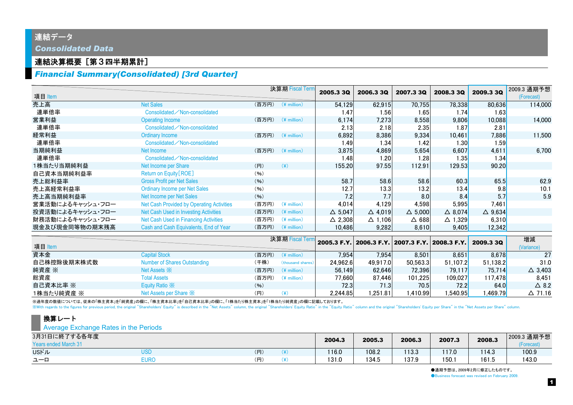### 連結データ *Consolidated Data*

### 連結決算概要[第3四半期累計]

### *Financial Summary(Consolidated) [3rd Quarter]*

|                  |                                                  |       | 決算期 Fiscal Term         | 2005.3 3Q         | 2006.3 3Q         | 2007.3 3Q         | 2008.3 3Q                                       | 2009.3 3Q               | 2009.3 通期予想       |
|------------------|--------------------------------------------------|-------|-------------------------|-------------------|-------------------|-------------------|-------------------------------------------------|-------------------------|-------------------|
| 項目 Item          |                                                  |       |                         |                   |                   |                   |                                                 |                         | (Forecast)        |
| 売上高              | <b>Net Sales</b>                                 | (百万円) | $(*$ million)           | 54,129            | 62,915            | 70,755            | 78,338                                          | 80,636                  | 114,000           |
| 連単倍率             | Consolidated / Non-consolidated                  |       |                         | 1.47              | 1.56              | 1.65              | 1.74                                            | 1.63                    |                   |
| 営業利益             | Operating Income                                 | (百万円) | $(\frac{4}{3})$ million | 6,174             | 7,273             | 8,558             | 9,806                                           | 10,088                  | 14,000            |
| 連単倍率             | Consolidated / Non-consolidated                  |       |                         | 2.13              | 2.18              | 2.35              | 1.87                                            | 2.81                    |                   |
| 経常利益             | <b>Ordinary Income</b>                           | (百万円) | $(*$ million)           | 6,892             | 8,386             | 9,334             | 10,461                                          | 7,886                   | 11,500            |
| 連単倍率             | Consolidated / Non-consolidated                  |       |                         | 1.49              | 1.34              | 1.42              | 1.30                                            | 1.59                    |                   |
| 当期純利益            | Net Income                                       | (百万円) | $(*$ million)           | 3,875             | 4,869             | 5,654             | 6,607                                           | 4,611                   | 6,700             |
| 連単倍率             | Consolidated / Non-consolidated                  |       |                         | 1.48              | 1.20              | 1.28              | 1.35                                            | 1.34                    |                   |
| 1株当たり当期純利益       | Net Income per Share                             | (H)   | $(\c{4})$               | 155.20            | 97.55             | 112.91            | 129.53                                          | 90.20                   |                   |
| 自己資本当期純利益率       | Return on Equity [ROE]                           | (96)  |                         |                   |                   |                   |                                                 |                         |                   |
| 売上総利益率           | <b>Gross Profit per Net Sales</b>                | (96)  |                         | 58.7              | 58.6              | 58.6              | 60.3                                            | 65.5                    | 62.9              |
| 売上高経常利益率         | <b>Ordinary Income per Net Sales</b>             | (96)  |                         | 12.7              | 13.3              | 13.2              | 13.4                                            | 9.8                     | 10.1              |
| 売上高当期純利益率        | Net Income per Net Sales                         | (96)  |                         | 7.2               | 7.7               | 8.0               | 8.4                                             | 5.7                     | 5.9               |
| 営業活動によるキャッシュ・フロー | <b>Net Cash Provided by Operating Activities</b> | (百万円) | $(4$ million)           | 4,014             | 4,129             | 4.598             | 5,995                                           | 7,461                   |                   |
| 投資活動によるキャッシュ・フロー | Net Cash Used in Investing Activities            | (百万円) | $(*$ million)           | $\triangle$ 5,047 | $\triangle$ 4,019 | $\triangle$ 5.000 | $\triangle$ 8,074                               | $\triangle$ 9,634       |                   |
| 財務活動によるキャッシュ・フロー | Net Cash Used in Financing Activities            | (百万円) | $(*)$ million)          | $\triangle$ 2,308 | $\triangle$ 1,106 | $\Delta$ 688      | $\triangle$ 1,329                               | 6,310                   |                   |
| 現金及び現金同等物の期末残高   | Cash and Cash Equivalents, End of Year           | (百万円) | $(*$ million)           | 10.486            | 9,282             | 8,610             | 9,405                                           | 12,342                  |                   |
|                  |                                                  |       | 決算期 Fiscal Tern         |                   |                   |                   |                                                 |                         | 増減                |
| 項目 Item          |                                                  |       |                         |                   |                   |                   | 2005.3 F.Y. 2006.3 F.Y. 2007.3 F.Y. 2008.3 F.Y. | 2009.3 3Q               | (Variance)        |
| 資本金              | <b>Capital Stock</b>                             | (百万円) | $(*$ million)           | 7,954             | 7,954             | 8,501             | 8,651                                           | 8,678                   | 27                |
| 自己株控除後期末株式数      | <b>Number of Shares Outstanding</b>              | (千株)  | (thousand shares)       | 24,962.6          | 49,917.0          | 50,563.3          | 51,107.2                                        | 51,138.2                | 31.0              |
| 純資産 ※            | Net Assets $\mathbb{\times}$                     | (百万円) | $(*$ million)           | 56,149            | 62.646            | 72,396            | <b>79,117</b>                                   | 75,714                  | $\triangle$ 3,403 |
| 総資産              | <b>Total Assets</b>                              | (百万円) | $(4$ million)           | 77,660            | 87,446            | 101,225           | 109,027                                         | 117,478                 | 8,451             |
| 自己資本比率 ※         | Equity Ratio X                                   | (96)  |                         | 72.3              | 71.3              | 70.5              | 72.2                                            | 64.0                    | $\triangle$ 8.2   |
| 1株当たり純資産 ※       | Net Assets per Share *                           | (H)   | $(\cfrac{\gamma}{2})$   | 2,244.85          | 1,251.81          | 410.99,           | 540.95                                          | l,469.79 <mark> </mark> | $\Delta$ 71.16    |

※過年度の数値については、従来の「株主資本」を「純資産」の欄に、「株主資本比率」を「自己資本比率」の欄に、「1株当たり株主資本」を「1株当たり純資産」の欄に記載しております。

With regards to the figures for previous period, the original "Shareholders' Equity" is described in the "Net Assets" column, the original "Shareholders' Equity Ratio" in the "Equity Ratio" column and the original "Shareho

### 換算レート

**Average Exchange Rates in the Periods** 

| 3月31日に終了する各年度<br><b>Years ended March 31</b> |      |     | 2004.3 | 2005.3 | 2006.3 | 2007.3 | 2008.3 | 2009.3 通期予想<br>(Forecast) |
|----------------------------------------------|------|-----|--------|--------|--------|--------|--------|---------------------------|
| <b>USドル</b>                                  | USD  | (円) | 16.0   | 108.2  | 113.3  | 117.0  | 114.3  | 100.9                     |
| ユーロ                                          | Eurc | (円) | 131.0  | 134.5  | 137.9  | 150.1  | 161.5  | 143.0                     |

●通期予想は、2009年2月に修正したものです。 **OBusiness forecast was revised on February 2009.**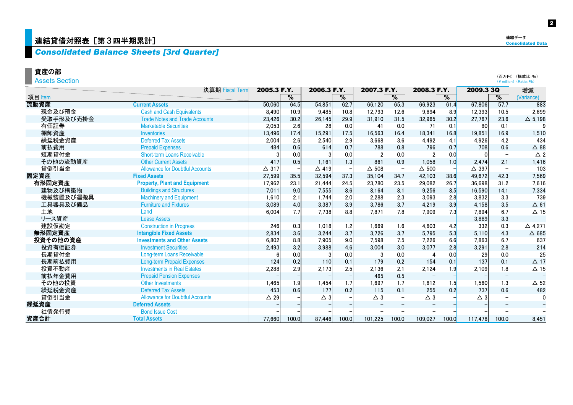### 連結貸借対照表 [第3四半期累計]

### *Consolidated Balance Sheets [3rd Quarter]*

資産の部

Assets Section

|           | 決算期 Fiscal Term                        |                | 2005.3 F.Y. | 2006.3 F.Y.     |       | 2007.3 F.Y.   |       | 2008.3 F.Y.     |       | 2009.3 3Q     |       | 増減              |
|-----------|----------------------------------------|----------------|-------------|-----------------|-------|---------------|-------|-----------------|-------|---------------|-------|-----------------|
| 項目 Item   |                                        |                | %           |                 | %     |               | %     |                 | %     |               | %     | (Variance)      |
| 流動資産      | <b>Current Assets</b>                  | 50,060         | 64.5        | 54.851          | 62.7  | 66.120        | 65.3  | 66.923          | 61.4  | 67,806        | 57.7  | 883             |
| 現金及び預金    | <b>Cash and Cash Equivalents</b>       | 8,490          | 10.9        | 9.485           | 10.8  | 12.793        | 12.6  | 9.694           | 8.9   | 12,393        | 10.5  | 2,699           |
| 受取手形及び売掛金 | <b>Trade Notes and Trade Accounts</b>  | 23,426         | 30.2        | 26,145          | 29.9  | 31,910        | 31.5  | 32,965          | 30.2  | 27,767        | 23.6  | $\Delta$ 5,198  |
| 有価証券      | <b>Marketable Securities</b>           | 2,053          | 2.6         | 28              | 0.0   | 41            | 0.0   | 71              | 0.1   | 80            | 0.1   |                 |
| 棚卸資産      | <b>Inventories</b>                     | 13.496         | 17.4        | 15.291          | 17.5  | 16.563        | 16.4  | 18.341          | 16.8  | 19,851        | 16.9  | 1.510           |
| 繰延税金資産    | <b>Deferred Tax Assets</b>             | 2,004          | 2.6         | 2.540           | 2.9   | 3,668         | 3.6   | 4.492           | 4.1   | 4,926         | 4.2   | 434             |
| 前払費用      | <b>Prepaid Expenses</b>                | 484            | 0.6         | 614             | 0.7   | 788           | 0.8   | 796             | 0.7   | 708           | 0.6   | $\Delta$ 88     |
| 短期貸付金     | Short-term Loans Receivable            |                | 0.0         |                 | 0.0   |               | 0.0   |                 | 0.0   |               |       | $\triangle$ 2   |
| その他の流動資産  | <b>Other Current Assets</b>            | 417            | 0.5         | 1.161           | 1.3   | 861           | 0.9   | 1,058           | 1.0   | 2.474         | 2.1   | 1,416           |
| 貸倒引当金     | <b>Allowance for Doubtful Accounts</b> | $\Delta$ 317   |             | $\triangle$ 419 |       | $\Delta$ 508  |       | $\triangle$ 500 |       | △ 397         |       | 103             |
| 固定資産      | <b>Fixed Assets</b>                    | 27,599         | 35.5        | 32,594          | 37.3  | 35,104        | 34.7  | 42,103          | 38.6  | 49,672        | 42.3  | 7,569           |
| 有形固定資産    | <b>Property, Plant and Equipment</b>   | 17,962         | 23.1        | 21.444          | 24.5  | 23,780        | 23.5  | 29,082          | 26.7  | 36.698        | 31.2  | 7.616           |
| 建物及び構築物   | <b>Buildings and Structures</b>        | 7.011          | 9.0         | 7.555           | 8.6   | 8,164         | 8.1   | 9.256           | 8.5   | 16,590        | 14.1  | 7,334           |
| 機械装置及び運搬具 | <b>Machinery and Equipment</b>         | 1,610          | 2.1         | 1.744           | 2.0   | 2,288         | 2.3   | 3,093           | 2.8   | 3,832         | 3.3   | 739             |
| 工具器具及び備品  | <b>Furniture and Fixtures</b>          | 3.089          | 4.0         | 3.387           | 3.9   | 3.786         | 3.7   | 4.219           | 3.9   | 4,158         | 3.5   | $\Delta$ 61     |
| 土地        | Land                                   | 6.004          | 7.7         | 7.738           | 8.8   | 7.871         | 7.8   | 7.909           | 7.3   | 7.894         | 6.7   | $\Delta$ 15     |
| リース資産     | <b>Lease Assets</b>                    |                |             |                 |       |               |       |                 |       | 3,889         | 3.3   |                 |
| 建設仮勘定     | <b>Construction in Progress</b>        | 246            | 0.3         | 1.018           | 1.2   | 1.669         | 1.6   | 4.603           | 4.2   | 332           | 0.3   | $\Delta$ 4,271  |
| 無形固定資産    | <b>Intangible Fixed Assets</b>         | 2,834          | 3.6         | 3.244           | 3.7   | 3,726         | 3.7   | 5.795           | 5.3   | 5,110         | 4.3   | $\triangle$ 685 |
| 投資その他の資産  | <b>Investments and Other Assets</b>    | 6,802          | 8.8         | 7.905           | 9.0   | 7,598         | 7.5   | 7,226           | 6.6   | 7,863         | 6.7   | 637             |
| 投資有価証券    | <b>Investment Securities</b>           | 2,493          | 3.2         | 3.988           | 4.6   | 3,004         | 3.0   | 3.077           | 2.8   | 3,291         | 2.8   | 214             |
| 長期貸付金     | <b>Long-term Loans Receivable</b>      |                | 0.0         |                 | 0.0   |               | 0.0   |                 | 0.0   | 29            | 0.0   | 25              |
| 長期前払費用    | <b>Long-term Prepaid Expenses</b>      | 124            | 0.2         | 110             | 0.1   | 179           | 0.2   | 154             | 0.1   | 137           | 0.1   | $\Delta$ 17     |
| 投資不動産     | <b>Investments in Real Estates</b>     | 2,288          | 2.9         | 2,173           | 2.5   | 2.136         | 2.1   | 2.124           | 1.9   | 2.109         | 1.8   | $\Delta$ 15     |
| 前払年金費用    | <b>Prepaid Pension Expenses</b>        |                |             |                 |       | 465           | 0.5   |                 |       |               |       |                 |
| その他の投資    | <b>Other Investments</b>               | 1,465          | 1.9         | 1.454           | 1.7   | 1.697         | 1.7   | 1,612           | 1.5   | 1.560         | 1.3   | $\Delta$ 52     |
| 繰延税金資産    | <b>Deferred Tax Assets</b>             | 453            | 0.6         | 177             | 0.2   | 115           | 0.1   | 255             | 0.2   | 737           | 0.6   | 482             |
| 貸倒引当金     | <b>Allowance for Doubtful Accounts</b> | $\triangle$ 29 |             | $\triangle$ 3   |       | $\triangle$ 3 |       | $\triangle$ 3   |       | $\triangle$ 3 |       | $\mathbf 0$     |
| 繰延資産      | <b>Deferred Assets</b>                 |                |             |                 |       |               |       |                 |       |               |       |                 |
| 社債発行費     | <b>Bond Issue Cost</b>                 |                |             |                 |       |               |       |                 |       |               |       |                 |
| 資産合計      | <b>Total Assets</b>                    | 77.660         | 100.0       | 87.446          | 100.0 | 101,225       | 100.0 | 109.027         | 100.0 | 117.478       | 100.0 | 8.451           |

(百万円) (構成比:%) (\ million) (Ratio:%)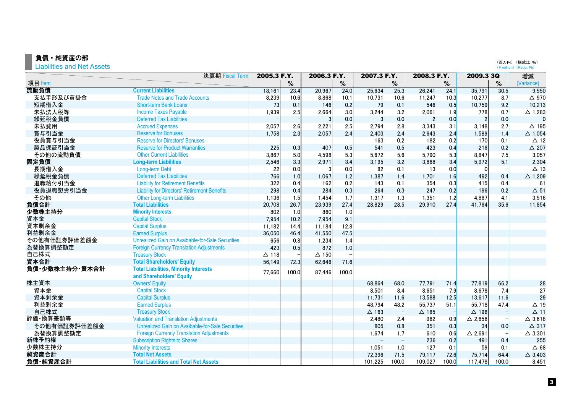### 負債・純資産の部

Liabilities and Net Assets

|                | 決算期 Fiscal Term                                     | 2005.3 F.Y.  |                          | 2006.3 F.Y.  |                          | 2007.3 F.Y.  |                          | 2008.3 F.Y.    |                          | 2009.3 3Q         |                          | 増減                |
|----------------|-----------------------------------------------------|--------------|--------------------------|--------------|--------------------------|--------------|--------------------------|----------------|--------------------------|-------------------|--------------------------|-------------------|
| 項目 Item        |                                                     |              | $\overline{\frac{9}{0}}$ |              | $\overline{\frac{9}{0}}$ |              | $\overline{\frac{9}{6}}$ |                | $\overline{\frac{9}{0}}$ |                   | $\overline{\frac{9}{6}}$ | (Variance)        |
| 流動負債           | <b>Current Liabilities</b>                          | 18,161       | 23.4                     | 20,967       | 24.0                     | 25,634       | 25.3                     | 26,241         | 24.1                     | 35,791            | 30.5                     | 9,550             |
| 支払手形及び買掛金      | <b>Trade Notes and Trade Accounts</b>               | 8,239        | 10.6                     | 8,868        | 10.1                     | 10,731       | 10.6                     | 11,247         | 10.3                     | 10,277            | 8.7                      | $\triangle$ 970   |
| 短期借入金          | <b>Short-term Bank Loans</b>                        | 73           | 0.1                      | 146          | 0.2                      | 79           | 0.1                      | 546            | 0.5                      | 10,759            | 9.2                      | 10,213            |
| 未払法人税等         | <b>Income Taxes Payable</b>                         | 1,939        | 2.5                      | 2,664        | 3.0                      | 3,244        | 3.2                      | 2,061          | 1.9                      | 778               | 0.7                      | $\triangle$ 1,283 |
| 繰延税金負債         | <b>Deferred Tax Liabilities</b>                     |              |                          | 3            | 0.0                      | 3            | 0.0                      | $\overline{2}$ | 0.0                      |                   | 0.0                      | $\mathbf{0}$      |
| 未払費用           | <b>Accrued Expenses</b>                             | 2,057        | 2.6                      | 2,221        | 2.5                      | 2,794        | 2.8                      | 3,343          | 3.1                      | 3,148             | 2.7                      | $\Delta$ 195      |
| 賞与引当金          | <b>Reserve for Bonuses</b>                          | 1,758        | 2.3                      | 2,057        | 2.4                      | 2,403        | 2.4                      | 2,643          | 2.4                      | 1,589             | 1.4                      | $\triangle$ 1,054 |
| 役員賞与引当金        | <b>Reserve for Directors' Bonuses</b>               |              |                          |              |                          | 163          | 0.2                      | 182            | 0.2                      | 170               | 0.1                      | $\triangle$ 12    |
| 製品保証引当金        | <b>Reserve for Product Warranties</b>               | 225          | 0.3                      | 407          | 0.5                      | 541          | 0.5                      | 423            | 0.4                      | 216               | 0.2                      | $\triangle$ 207   |
| その他の流動負債       | <b>Other Current Liabilities</b>                    | 3,867        | 5.0                      | 4,598        | 5.3                      | 5,672        | 5.6                      | 5,790          | 5.3                      | 8,847             | 7.5                      | 3,057             |
| 固定負債           | <b>Long-term Liabilities</b>                        | 2,546        | 3.3                      | 2,971        | 3.4                      | 3,195        | 3.2                      | 3,668          | 3.4                      | 5,972             | 5.1                      | 2,304             |
| 長期借入金          | Long-term Debt                                      | 22           | 0.0                      | 3            | 0.0                      | 82           | 0.1                      | 13             | 0.0                      | $\Omega$          |                          | $\Delta$ 13       |
| 繰延税金負債         | <b>Deferred Tax Liabilities</b>                     | 766          | 1.0                      | 1,067        | 1.2                      | 1,387        | 1.4                      | 1,701          | 1.6                      | 492               | 0.4                      | $\triangle$ 1,209 |
| 退職給付引当金        | <b>Liability for Retirement Benefits</b>            | 322          | 0.4                      | 162          | 0.2                      | 143          | 0.1                      | 354            | 0.3                      | 415               | 0.4                      | 61                |
| 役員退職慰労引当金      | <b>Liability for Directors' Retirement Benefits</b> | 298          | 0.4                      | 284          | 0.3                      | 264          | 0.3                      | 247            | 0.2                      | 196               | 0.2                      | $\Delta$ 51       |
| その他            | <b>Other Long-term Liabilities</b>                  | 1,136        | 1.5                      | 1,454        | 1.7                      | 1,317        | 1.3                      | 1,351          | 1.2                      | 4,867             | 4.1                      | 3,516             |
| 負債合計           | <b>Total Liabilities</b>                            | 20,708       | 26.7                     | 23,939       | 27.4                     | 28,829       | 28.5                     | 29.910         | 27.4                     | 41,764            | 35.6                     | 11,854            |
| 少数株主持分         | <b>Minority Interests</b>                           | 802          | 1.0                      | 860          | 1.0                      |              |                          |                |                          |                   |                          |                   |
| 資本金            | <b>Capital Stock</b>                                | 7,954        | 10.2                     | 7,954        | 9.1                      |              |                          |                |                          |                   |                          |                   |
| 資本剰余金          | <b>Capital Surplus</b>                              | 11,182       | 14.4                     | 11.184       | 12.8                     |              |                          |                |                          |                   |                          |                   |
| 利益剰余金          | <b>Earned Surplus</b>                               | 36,050       | 46.4                     | 41,550       | 47.5                     |              |                          |                |                          |                   |                          |                   |
| その他有価証券評価差額金   | Unrealized Gain on Avaibable-for-Sale Securities    | 656          | 0.8                      | 1,234        | 1.4                      |              |                          |                |                          |                   |                          |                   |
| 為替換算調整勘定       | <b>Foreign Currency Translation Adjustments</b>     | 423          | 0.5                      | 872          | 1.0                      |              |                          |                |                          |                   |                          |                   |
| 自己株式           | <b>Treasury Stock</b>                               | $\Delta$ 118 |                          | $\Delta$ 150 |                          |              |                          |                |                          |                   |                          |                   |
| 資本合計           | <b>Total Shareholders' Equity</b>                   | 56,149       | 72.3                     | 62,646       | 71.6                     |              |                          |                |                          |                   |                          |                   |
| 負債・少数株主持分・資本合計 | <b>Total Liabilities, Minority Interests</b>        | 77,660       | 100.0                    | 87,446       | 100.0                    |              |                          |                |                          |                   |                          |                   |
|                | and Shareholders' Equity                            |              |                          |              |                          |              |                          |                |                          |                   |                          |                   |
| 株主資本           | <b>Owners' Equity</b>                               |              |                          |              |                          | 68,864       | 68.0                     | 77,791         | 71.4                     | 77,819            | 66.2                     | 28                |
| 資本金            | <b>Capital Stock</b>                                |              |                          |              |                          | 8,501        | 8.4                      | 8,651          | 7.9                      | 8,678             | 7.4                      | 27                |
| 資本剰余金          | <b>Capital Surplus</b>                              |              |                          |              |                          | 11,731       | 11.6                     | 13,588         | 12.5                     | 13,617            | 11.6                     | 29                |
| 利益剰余金          | <b>Earned Surplus</b>                               |              |                          |              |                          | 48,794       | 48.2                     | 55,737         | 51.1                     | 55,718            | 47.4                     | $\triangle$ 19    |
| 自己株式           | <b>Treasury Stock</b>                               |              |                          |              |                          | $\Delta$ 163 |                          | $\Delta$ 185   |                          | $\Delta$ 196      |                          | $\Delta$ 11       |
| 評価 換算差額等       | <b>Valuation and Translation Adjustments</b>        |              |                          |              |                          | 2,480        | 2.4                      | 962            | 0.9                      | $\triangle$ 2,656 |                          | $\triangle$ 3,618 |
| その他有価証券評価差額金   | Unrealized Gain on Avaibable-for-Sale Securities    |              |                          |              |                          | 805          | 0.8                      | 351            | 0.3                      | 34                | 0.0                      | $\Delta$ 317      |
| 為替換算調整勘定       | <b>Foreign Currency Translation Adjustments</b>     |              |                          |              |                          | 1,674        | 1.7                      | 610            | 0.6                      | $\triangle$ 2,691 |                          | $\triangle$ 3,301 |
| 新株予約権          | <b>Subscription Rights to Shares</b>                |              |                          |              |                          |              |                          | 236            | 0.2                      | 491               | 0.4                      | 255               |
| 少数株主持分         | <b>Minority Interests</b>                           |              |                          |              |                          | 1.051        | 1.0                      | 127            | 0.1                      | 59                | 0.1                      | $\Delta$ 68       |
| 純資産合計          | <b>Total Net Assets</b>                             |              |                          |              |                          | 72,396       | 71.5                     | 79,117         | 72.6                     | 75,714            | 64.4                     | $\triangle$ 3,403 |
| 負債・純資産合計       | <b>Total Liabilities and Total Net Assets</b>       |              |                          |              |                          | 101,225      | 100.0                    | 109,027        | 100.0                    | 117,478           | 100.0                    | 8,451             |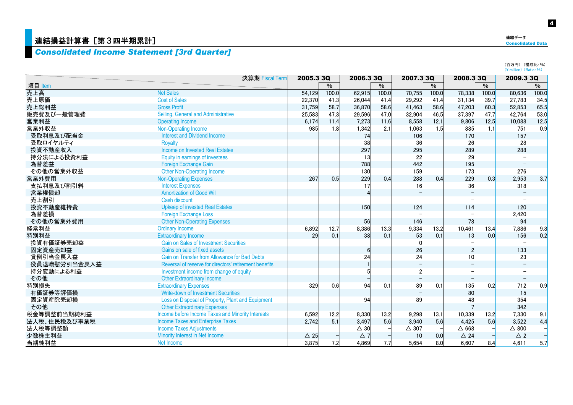### **直結損益計算書[第3四半期累計]**

### *Consolidated Income Statement [3rd Quarter]*

| ---                      |
|--------------------------|
| <b>Consolidated Data</b> |
|                          |
|                          |
|                          |

連結データ

(百万円) (構成比:%)<br>(¥ million) (Ratio:%)

|              | 決算期 Fiscal Term                                        | 2005.3 3Q      |       | 2006.3 3Q      |       | 2007.3 3Q       |               |                | 2008.3 3Q |                 | 2009.3 3Q |
|--------------|--------------------------------------------------------|----------------|-------|----------------|-------|-----------------|---------------|----------------|-----------|-----------------|-----------|
| 項目 Item      |                                                        |                | $\%$  |                | $\%$  |                 | $\frac{9}{6}$ |                | $\%$      |                 | %         |
| 売上高          | <b>Net Sales</b>                                       | 54.129         | 100.0 | 62.915         | 100.0 | 70,755          | 100.0         | 78,338         | 100.0     | 80,636          | 100.0     |
| 売上原価         | <b>Cost of Sales</b>                                   | 22,370         | 41.3  | 26,044         | 41.4  | 29,292          | 41.4          | 31,134         | 39.7      | 27,783          | 34.5      |
| 売上総利益        | <b>Gross Profit</b>                                    | 31,759         | 58.7  | 36,870         | 58.6  | 41,463          | 58.6          | 47,203         | 60.3      | 52,853          | 65.5      |
| 販売費及び一般管理費   | Selling, General and Administrative                    | 25.583         | 47.3  | 29.596         | 47.0  | 32,904          | 46.5          | 37,397         | 47.7      | 42,764          | 53.0      |
| 営業利益         | <b>Operating Income</b>                                | 6.174          | 11.4  | 7,273          | 11.6  | 8,558           | 12.1          | 9,806          | 12.5      | 10,088          | 12.5      |
| 営業外収益        | Non-Operating Income                                   | 985            | 1.8   | 1,342          | 2.1   | 1,063           | 1.5           | 885            | 1.1       | 751             | 0.9       |
| 受取利息及び配当金    | <b>Interest and Dividend Income</b>                    |                |       | 74             |       | 106             |               | 170            |           | 157             |           |
| 受取ロイヤルティ     | <b>Royalty</b>                                         |                |       | 38             |       | 36              |               | 26             |           | 28              |           |
| 投資不動産収入      | <b>Income on Invested Real Estates</b>                 |                |       | 297            |       | 295             |               | 289            |           | 288             |           |
| 持分法による投資利益   | Equity in earnings of investees                        |                |       | 13             |       | 22              |               | 29             |           |                 |           |
| 為替差益         | Foreign Exchange Gain                                  |                |       | 788            |       | 442             |               | 195            |           |                 |           |
| その他の営業外収益    | <b>Other Non-Operating Income</b>                      |                |       | 130            |       | 159             |               | 173            |           | 276             |           |
| 営業外費用        | <b>Non-Operating Expenses</b>                          | 267            | 0.5   | 229            | 0.4   | 288             | 0.4           | 229            | 0.3       | 2,953           | 3.7       |
| 支払利息及び割引料    | <b>Interest Expenses</b>                               |                |       | 17             |       | 16              |               | 36             |           | 318             |           |
| 営業権償却        | <b>Amortization of Good Will</b>                       |                |       |                |       |                 |               |                |           |                 |           |
| 売上割引         | Cash discount                                          |                |       |                |       |                 |               |                |           |                 |           |
| 投資不動産維持費     | <b>Upkeep of invested Real Estates</b>                 |                |       | 150            |       | 124             |               | 114            |           | 120             |           |
| 為替差損         | <b>Foreign Exchange Loss</b>                           |                |       |                |       |                 |               |                |           | 2,420           |           |
| その他の営業外費用    | <b>Other Non-Operating Expenses</b>                    |                |       | 56             |       | 146             |               | 78             |           | 94              |           |
| 経常利益         | <b>Ordinary Income</b>                                 | 6,892          | 12.7  | 8,386          | 13.3  | 9,334           | 13.2          | 10,461         | 13.4      | 7,886           | 9.8       |
| 特別利益         | <b>Extraordinary Income</b>                            | 29             | 0.1   | 38             | 0.1   | 53              | 0.1           | 13             | 0.0       | 156             | 0.2       |
| 投資有価証券売却益    | <b>Gain on Sales of Investment Securities</b>          |                |       |                |       |                 |               |                |           |                 |           |
| 固定資産売却益      | Gains on sale of fixed assets                          |                |       | 6              |       | 26              |               |                |           | 133             |           |
| 貸倒引当金戻入益     | Gain on Transfer from Allowance for Bad Debts          |                |       | 24             |       | 24              |               | 10             |           | 23              |           |
| 役員退職慰労引当金戻入益 | Reversal of reserve for directors' retirement benefits |                |       |                |       |                 |               |                |           |                 |           |
| 持分変動による利益    | Investment income from change of equity                |                |       |                |       |                 |               |                |           |                 |           |
| その他          | <b>Other Extraordinary Income</b>                      |                |       |                |       |                 |               |                |           |                 |           |
| 特別損失         | <b>Extraordinary Expenses</b>                          | 329            | 0.6   | 94             | 0.1   | 89              | 0.1           | 135            | 0.2       | 712             | 0.9       |
| 有価証券等評価損     | <b>Write-down of Investment Securities</b>             |                |       |                |       |                 |               | 80             |           | 15              |           |
| 固定資産除売却損     | Loss on Disposal of Property, Plant and Equipment      |                |       | 94             |       | 89              |               | 48             |           | 354             |           |
| その他          | <b>Other Extraordinary Expenses</b>                    |                |       |                |       |                 |               |                |           | 342             |           |
| 税金等調整前当期純利益  | Income before Income Taxes and Minority Interests      | 6,592          | 12.2  | 8,330          | 13.2  | 9,298           | 13.1          | 10,339         | 13.2      | 7,330           | 9.1       |
| 法人税、住民税及び事業税 | <b>Income Taxes and Enterprise Taxes</b>               | 2,742          | 5.1   | 3,497          | 5.6   | 3.940           | 5.6           | 4,425          | 5.6       | 3,522           | 4.4       |
| 法人税等調整額      | <b>Income Taxes Adjustments</b>                        |                |       | $\triangle$ 30 |       | $\triangle$ 307 |               | $\Delta$ 668   |           | $\triangle$ 800 |           |
| 少数株主利益       | Minority Interest in Net Income                        | $\triangle$ 25 |       | $\triangle$ 7  |       | 10              | 0.0           | $\triangle$ 24 |           | $\triangle$ 2   |           |
| 当期純利益        | Net Income                                             | 3,875          | 7.2   | 4.869          | 7.7   | 5.654           | 8.0           | 6.607          | 8.4       | 4.611           | 5.7       |

4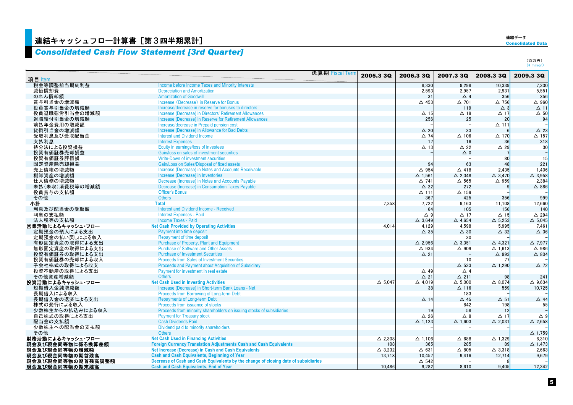### <mark>連結キャッシュフロー計算書 [第3四半期累計]</mark>

### *Consolidated Cash Flow Statement [3rd Quarter]*

連結データ

(百万円)<br>(¥ million)

| 項目 Item           |                                                                                     | 決算期 Fiscal Term | 2005.3 3Q         | 2006.3 3Q                     | 2007.3 3Q           | 2008.3 3Q         | 2009.3 3Q            |
|-------------------|-------------------------------------------------------------------------------------|-----------------|-------------------|-------------------------------|---------------------|-------------------|----------------------|
| 税金等調整前当期純利益       | Income before Income Taxes and Minority Interests                                   |                 |                   | 8,330                         | 9,298               | 10,339            | 7,330                |
| 減価償却費             | <b>Depreciation and Amortization</b>                                                |                 |                   | 2,593                         | 2.957               | 2,931             | 5.551                |
| のれん償却額            | <b>Amortization of Goodwill</b>                                                     |                 |                   | 31                            | $\triangle$ 4       | 356               | 356                  |
| 賞与引当金の増減額         | Increase (Decrease) in Reserve for Bonus                                            |                 |                   | $\triangle$ 453               | $\triangle$ 701     | $\triangle$ 756   | $\triangle$ 960      |
| 役員賞与引当金の増減額       | Increase/decrease in reserve for bonuses to directors                               |                 |                   |                               | 119                 | $\triangle$ 3     | $\Delta$ 11          |
| 役員退職慰労引当金の増減額     | Increase (Decrease) in Directors' Retirement Allowances                             |                 |                   | $\Delta$ 15                   | $\Delta$ 19         | $\Delta$ 17       | $\triangle$ 50       |
| 退職給付引当金の増減額       | Increase (Decrease) in Reserve for Retirement Allowances                            |                 |                   | 256                           | 25                  | 20                | 94                   |
| 前払年金費用の増減額        | Increase/decrease in Prepaid pension cost                                           |                 |                   |                               |                     | $\Delta$ 111      |                      |
| 貸倒引当金の増減額         | Increase (Decrease) in Allowance for Bad Debts                                      |                 |                   | $\triangle$ 20                | 33                  |                   | $\triangle$ 23       |
| 受取利息及び受取配当金       | <b>Interest and Dividend Income</b>                                                 |                 |                   | $\triangle$ 74                | $\Delta$ 106        | $\triangle$ 170   | $\Delta$ 157         |
| 支払利息              | <b>Interest Expenses</b>                                                            |                 |                   | 17                            | 16                  | 36                | 318                  |
| 持分法による投資損益        | Equity in earnings/loss of investees                                                |                 |                   | $\Delta$ 13                   | $\triangle$ 22      | $\triangle$ 29    | 30                   |
| 投資有価証券売却損益        | Gain/loss on sales of investment securities                                         |                 |                   |                               | $\triangle$ 0       |                   |                      |
| 投資有価証券評価損         | Write-Down of investment securities                                                 |                 |                   |                               |                     | 80                | 15                   |
| 固定資産除売却損益         | Gain/Loss on Sales/Disposal of fixed assets                                         |                 |                   | 94                            | 63                  | 48                | 221                  |
| 売上債権の増減額          | Increase (Decrease) in Notes and Accounts Receivable                                |                 |                   | $\triangle$ 954               | $\triangle$ 418     | 2.435             | 1,406                |
| 棚卸資産の増減額          | Increase (Decrease) in Inventories                                                  |                 |                   | $\Delta$ 1,561                | $\triangle$ 2.048   | $\triangle$ 3,470 | $\triangle$ 3,958    |
| 仕入債務の増減額          | Decrease (Increase) in Notes and Accounts Payable                                   |                 |                   | $\Delta$ 741                  | $\Delta$ 565        | $\triangle$ 959   | 2.384                |
| 未払(未収)消費税等の増減額    | Decrease (Increase) in Consumption Taxes Payable                                    |                 |                   | $\triangle$ 22                | 272                 |                   | $\triangle$ 886      |
| 役員賞与の支払額          | <b>Officer's Bonus</b>                                                              |                 |                   | $\Delta$ 111                  | $\Delta$ 159        |                   |                      |
| その他               | <b>Others</b>                                                                       |                 |                   | 367                           | 425                 | 356               | 999                  |
| 小計                | <b>Total</b>                                                                        |                 | 7.358             | 7,722                         | 9.163               | 11.108            | 12.660               |
| 利息及び配当金の受取額       | <b>Interest and Dividend Income - Received</b>                                      |                 |                   | 64                            | 105                 | 156               | 140                  |
| 利息の支払額            | <b>Interest Expenses - Paid</b>                                                     |                 |                   | $\triangle$ 9                 | $\triangle$ 17      | $\Delta$ 15       | $\triangle$ 294      |
| 法人税等の支払額          | <b>Income Taxes - Paid</b>                                                          |                 |                   | $\triangle$ 3.649             | $\triangle$ 4.654   | $\Delta$ 5,253    | $\triangle$ 5,045    |
| 営業活動によるキャッシュ・フロー  | <b>Net Cash Provided by Operating Activities</b>                                    |                 | 4.014             | 4,129                         | 4.598               | 5.995             | 7.461                |
| 定期預金の預入による支出      | Payment into time deposit                                                           |                 |                   | $\triangle$ 35                | $\triangle$ 30      | $\triangle$ 32    | $\triangle$ 36       |
| 定期預金の払い戻しによる収入    | <b>Repayment of time deposit</b>                                                    |                 |                   |                               | 30                  |                   |                      |
| 有形固定資産の取得による支出    | <b>Purchase of Property, Plant and Equipment</b>                                    |                 |                   | $\triangle$ 2.956             | $\triangle$ 3.351   | $\triangle$ 4.321 | $\triangle$ 7.977    |
| 無形固定資産の取得による支出    | <b>Purchase of Software and Other Assets</b>                                        |                 |                   | △ 934                         | $\triangle$ 909     | $\Delta$ 1,613    | △ 986                |
| 投資有価証券の取得による支出    | <b>Purchase of Investment Securities</b>                                            |                 |                   | $\Delta$ 21                   |                     | $\triangle$ 993   | $\triangle$ 804      |
| 投資有価証券の売却による収入    | <b>Proceeds from Sales of Investment Securities</b>                                 |                 |                   |                               | 10                  | 77                |                      |
| 子会社株式の取得による収支     | Proceeds and Payment about Acquisition of Subsidiary                                |                 |                   |                               | $\Delta$ 533        |                   | $\triangle$ 72       |
| 投資不動産の取得による支出     | Payment for investment in real estate                                               |                 |                   |                               | $\triangle$ 4       | $\triangle$ 1.290 |                      |
|                   | <b>Others</b>                                                                       |                 |                   | $\triangle$ 49<br>$\Delta$ 21 | $\Delta$ 211        | 98                | 241                  |
| その他資産増減額          | <b>Net Cash Used in Investing Activities</b>                                        |                 |                   |                               | $\triangle$ 5.000   |                   |                      |
| 投資活動によるキャッシュ・フロー  | Increase (Decrease) in Short-term Bank Loans - Net                                  |                 | $\triangle$ 5.047 | $\triangle$ 4,019             |                     | $\triangle$ 8,074 | $\triangle$ 9.634    |
| 短期借入金純増減額         | Proceeds from Borrowing of Long-term Debt                                           |                 |                   | 38                            | $\Delta$ 116<br>183 | 559               | 10,725               |
| 長期借入による収入         | <b>Repayments of Long-term Debt</b>                                                 |                 |                   |                               |                     |                   |                      |
| 長期借入金の返済による支出     | Proceeds from issuance of stocks                                                    |                 |                   | $\triangle$ 14                | $\triangle$ 45      | $\Delta$ 51       | $\triangle$ 44<br>55 |
| 株式の発行による収入        | Proceeds from minority shareholders on issuing stocks of subsidiaries               |                 |                   |                               | 842                 | 198               |                      |
| 少数株主からの払込みによる収入   |                                                                                     |                 |                   | 19                            | 58                  | 12                |                      |
| 自己株式の取得による支出      | <b>Payment for Treasury stock</b>                                                   |                 |                   | $\triangle$ 26                | $\triangle$ 8       | $\Delta$ 17       | $\triangle$ 9        |
| 配当金の支払額           | <b>Cash Dividends Paid</b>                                                          |                 |                   | $\triangle$ 1.123             | $\triangle$ 1.603   | $\triangle$ 2.031 | $\triangle$ 2.658    |
| 少数株主への配当金の支払額     | Dividend paid to minority shareholders                                              |                 |                   |                               |                     |                   |                      |
| その他               | <b>Others</b>                                                                       |                 |                   |                               |                     |                   | $\Delta$ 1,759       |
| 財務活動によるキャッシュ・フロー  | <b>Net Cash Used in Financing Activities</b>                                        |                 | $\Delta$ 2,308    | $\Delta$ 1,106                | $\triangle$ 688     | $\Delta$ 1,329    | 6.310                |
| 現金及び現金同等物に係る換算差額  | Foreign Currency Translation Adjustments Cash and Cash Equivalents                  |                 | 108               | 365                           | 285                 | 89                | $\triangle$ 1,473    |
| 現金及び現金同等物の増減額     | Net Increase (Decrease) in Cash and Cash Equivalents                                |                 | $\triangle$ 3.232 | $\Delta$ 631                  | $\triangle$ 805     | $\triangle$ 3,318 | 2,663                |
| 現金及び現金同等物の期首残高    | <b>Cash and Cash Equivalents, Beginning of Year</b>                                 |                 | 13,718            | 10,457                        | 9.416               | 12,714            | 9,679                |
| 現金及び現金同等物の期首残高調整額 | Decrease of Cash and Cash Equivalents by the change of closing date of subsidiaries |                 |                   | $\Delta$ 542                  |                     |                   |                      |
| 現金及び現金同等物の期末残高    | <b>Cash and Cash Equivalents, End of Year</b>                                       |                 | 10,486            | 9.282                         | 8,610               | 9.405             | 12,342               |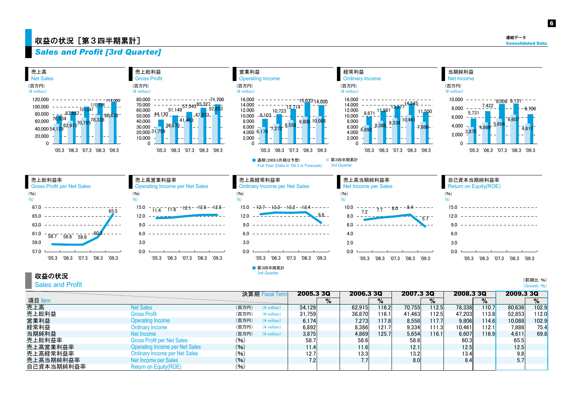### 収益の状況[第3四半期累計]  $\mathbb{Q}$  and  $\mathbb{Q}$  and  $\mathbb{Q}$  and  $\mathbb{Q}$  . The consolidated Data

6

### *Sales and Profit [3rd Quarter]*



#### 収益の状況

Sales and Profit

(前期比:%) (Growth:%)

|            |                                       |       | 決算期 Fiscal Term |                   | 2005.3 3Q | 2006.3 3Q |        | 2007.3 3Q |        | 2008.3 3Q |       | 2009.3 3Q |       |
|------------|---------------------------------------|-------|-----------------|-------------------|-----------|-----------|--------|-----------|--------|-----------|-------|-----------|-------|
| 項目 Item    |                                       |       |                 |                   | %         |           | %      |           | $\%$   |           | %     |           | %     |
| 売上高        | <b>Net Sales</b>                      | (百万円) | $(*)$ million)  | 54.129            |           | 62.915    | 116.2  | 70.755    | 112.5  | 78,338    | 110.7 | 80,636    | 102.9 |
| 売上総利益      | <b>Gross Profit</b>                   | (百万円) | $(*)$ million)  | 31.759            |           | 36.870    | !16.1  | 41,463    | 112.51 | 47.203    | 113.8 | 52,853    | 112.0 |
| 営業利益       | <b>Operating Income</b>               | (百万円) | $(*)$ million)  | 6.174             |           | 7.273     | 117.81 | 8,558     | 117.7  | 9.806     | 114.6 | 10,088    | 102.9 |
| 経常利益       | Ordinary Income                       | (百万円) | $(*)$ million)  | 6.892             |           | 8,386     | 121.7  | 9,334     | 111.31 | 10.461    | 112.1 | 7,886     | 75.4  |
| 当期純利益      | Net Income                            | (百万円) | $(*)$ million)  | 3.875             |           | 4,869     | 125.7  | 5.654     | 116.1  | 6.607     | 116.9 | 4,611     | 69.8  |
| 売上総利益率     | <b>Gross Profit per Net Sales</b>     | (96)  |                 | 58.7              |           | 58.6      |        | 58.6      |        | 60.3      |       | 65.5      |       |
| 売上高営業利益率   | <b>Operating Income per Net Sales</b> | (96)  |                 | 11.4 <sub>1</sub> |           | 11.6      |        | 12.1      |        | 12.5      |       | 12.5      |       |
| 売上高経常利益率   | <b>Ordinary Income per Net Sales</b>  | (96)  |                 | 12.7              |           | 13.3      |        | 13.2      |        | 13.4      |       |           |       |
| 売上高当期純利益率  | Net Income per Sales                  | (96)  |                 |                   |           | 7.7       |        | 8.0       |        | 8.4       |       |           |       |
| 自己資本当期純利益率 | <b>Return on Equity(ROE)</b>          | (96)  |                 |                   |           |           |        |           |        |           |       |           |       |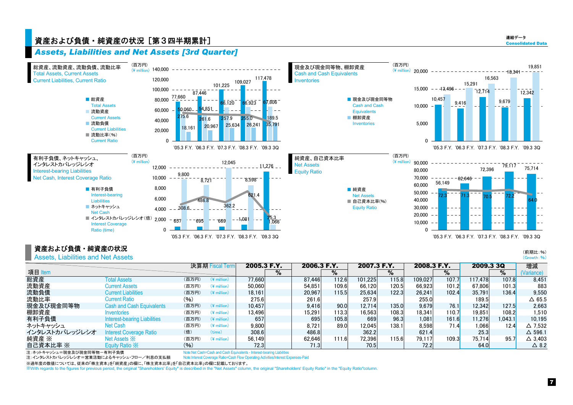### 資産および負債・純資産の状況[第3四半期累計] Consolidated Data かいしょう こうしょう こうしょう こうしょう こうしゅうしょう

連結データ





### 資産および負債・純資産の状況

Assets, Liabilities and Net Assets

|                |                                     |        | 決算期 Fiscal Term |        | 2005.3 F.Y. |        | 2006.3 F.Y. | 2007.3 F.Y. |       | 2008.3 F.Y.       |                      | 2009.3 3Q |         | 増減                |
|----------------|-------------------------------------|--------|-----------------|--------|-------------|--------|-------------|-------------|-------|-------------------|----------------------|-----------|---------|-------------------|
| 項目 Item        |                                     |        |                 |        | %           |        | %           |             | %     |                   | %                    |           | $\%$    | (Variance)        |
| 総資産            | <b>Total Assets</b>                 | (百万円)  | $(*)$ million)  | 77.660 |             | 87.446 | 112.6       | 101.225     | 115.8 | 109.027           | 107.7                | 117.478   | 107.8   | 8.451             |
| 流動資産           | <b>Current Assets</b>               | (百万円)  | $(*)$ million)  | 50.060 |             | 54.851 | 109.6       | 66.120      | 120.5 | 66.923            | 101.2                | 67.806    | 101.3   | 883               |
| 流動負債           | <b>Current Liabilities</b>          | (百万円)  | $(*)$ million)  | 18.161 |             | 20.967 | 115.51      | 25.634      | 122.3 | 26.241            | 102.4                | 35.791    | 136.4   | 9.550             |
| 流動比率           | Current Ratio                       | $(\%)$ |                 | 275.6  |             | 261.6  |             | 257.9       |       | 255.0             |                      | 189.5     |         | $\Delta$ 65.5     |
| 現金及び現金同等物      | <b>Cash and Cash Equivalents</b>    | (百万円)  | $(*)$ million)  | 10.457 |             | 9.416  | 90.0        | 12.714      | 135.0 | 9.679             | 76.1                 | 12.342    | 127.5   | 2.663             |
| 棚卸資産           | Inventories                         | (百万円)  | $(*)$ million)  | 13.496 |             | 15.291 | 113.31      | 16.563      | 108.3 | 18.341            | 110.7 <mark>1</mark> | 19,851    | 108.2   | 1.510             |
| 有利子負債          | <b>Interest-bearing Liabilities</b> | (百万円)  | $(*)$ million)  | 657    |             | 695    | 105.8       | 669         | 96.3  | 1,081             | 161.6                | 11,276    | 1.043.1 | 10.195            |
| ネットキャッシュ       | Net Cash                            | (百万円)  | $(*)$ million)  | 9,800  |             | 8.721  | 89.0        | 12.045      | 138.1 | 8.598             | 71.4                 | 1,066     | 12.4    | $\triangle$ 7.532 |
| インタレストカバレッジレシオ | <b>Interest Coverage Ratio</b>      | (倍)    | (time)          | 308.6  |             | 486.8  |             | 362.2       |       | 621.4             |                      | 25.3      |         | $\Delta$ 596.1    |
| 純資産 ※          | Net Assets $\divideontimes$         | (百万円)  | $(*)$ million)  | 56.149 |             | 62.646 | 111.6       | 72.396      | 115.6 | 79.117            | 109.3                | 75.714    | 95.7    | $\triangle$ 3.403 |
| 自己資本比率 ※       | Equity Ratio X                      | (96)   |                 | 72.3   |             | 71.3   |             | 70.5        |       | 72.2 <sub>1</sub> |                      | 64.0      |         | $\triangle$ 8.2   |

注:ネットキャッシュ=現金及び現金同等物ー有利子負債

 Note:Net Cash=Cash and Cash Equivalents - Interest-bearing Liabilities Note:Interest Coverage Ratio=Cash Flow Operating Activities/Interest Expenses-Paid

注:インタレストカバレッジレシオ=営業活動によるキャッシュ・フロー/利息の支払額 ※過年度の数値については、従来の「株主資本」を「純資産」の欄に、「株主資本比率」を「自己資本比率」の欄に記載しております。

※With regards to the figures for previous period, the original "Shareholders' Equity" is described in the "Net Assets" column, the original "Shareholders' Equity Ratio" in the "Equity Ratio"column.

(前期比:%)  $(Growth: %)$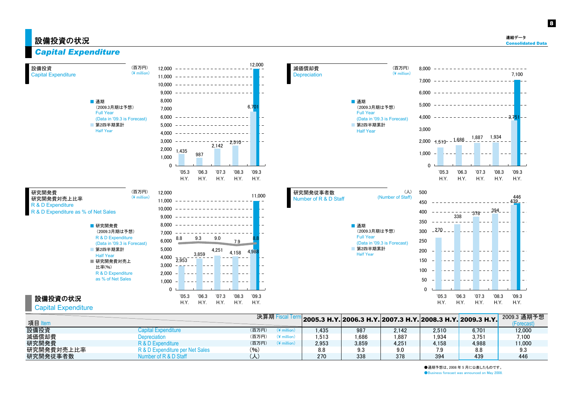設備投資

Capital Expenditure

8



| 研究開発費<br>研究開発費対売上比率                 |  |
|-------------------------------------|--|
| R & D Expenditure                   |  |
| R & D Expenditure as % of Net Sales |  |

設備投資の状況 Capital Expenditure



(百万円)  $(*$  million)

| 12,000 | 11,000                                   |
|--------|------------------------------------------|
| 11,000 |                                          |
| 10,000 |                                          |
| 9,000  |                                          |
| 8,000  |                                          |
| 7,000  |                                          |
| 6,000  | 9.3<br>9.0<br>8.8<br>8.8<br>7.9          |
| 5,000  | 4,251<br>4,988<br>4.158                  |
| 4,000  | 3,859<br>2,953                           |
| 3,000  |                                          |
| 2,000  |                                          |
| 1,000  |                                          |
| 0      |                                          |
|        | '05.3<br>06.3<br>'07.3<br>'08.3<br>'09.3 |
|        |                                          |

H.Y.

H.Y.

H.Y.

H.Y.

H.Y.





|            |                                 | 決算期 Fis                                      |       | " 2005.3 Н.Ү. 2006.3 Н.Ү. 2007.3 Н.Ү. 2008.3 Н.Ү. 2009.3 Н.Ү. |        |       |                | 2009.3 通期予想     |
|------------|---------------------------------|----------------------------------------------|-------|---------------------------------------------------------------|--------|-------|----------------|-----------------|
| 項目 Item    |                                 |                                              |       |                                                               |        |       |                | <b>Forecast</b> |
| 設備投資       | Capital Expenditure             | (百万円)<br>$\left(\frac{1}{2}\right)$ million) | .435  | 987                                                           | 2.142  | 2.510 | 6.701          | 12.000          |
| 減価償却費      | Depreciation                    | (百万円)<br>$(\frac{1}{2}$ million)             | .513  | .686                                                          | 887. ا | .934  | $3.75^{\circ}$ | 7.100           |
| 研究開発費      | R & D Expenditure               | (百万円)<br>$(\frac{1}{2})$ million)            | 2.953 | 3.859                                                         | 4.251  | 4.158 | 4.988          | 11.000          |
| 研究開発費対売上比率 | R & D Expenditure per Net Sales | (9/6)                                        | 8.8   | 9.3                                                           | 9.0    |       | 8.8            | 9.3             |
| 研究開発従事者数   | Number of R & D Staff           | $(\mathcal{N})$                              | 270   | 338                                                           | 378    | 394   | 439            | 446             |

●通期予想は、2008 年 5 月に公表したものです。 ●Business forecast was announced on May 2008.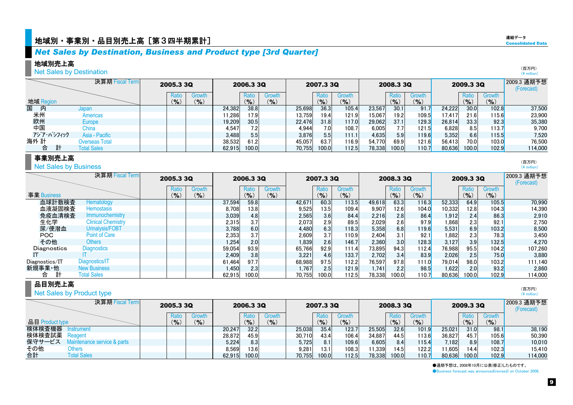### *Net Sales by Destination, Business and Product type [3rd Quarter]*

### 地域別売上高

### Net Sales by Destination

|     |            | 決算期 Fiscal Term    | 2005.3 3Q     |           |        | 2006.3 3Q    |        |        | 2007.3 3Q |           |        | 2008.3 3Q |              |        | 2009.3 3Q |                      | 2009.3 通期予想<br>(Forecast) |
|-----|------------|--------------------|---------------|-----------|--------|--------------|--------|--------|-----------|-----------|--------|-----------|--------------|--------|-----------|----------------------|---------------------------|
|     |            |                    | Ratio         | Growth    |        | <b>Ratio</b> | Growth |        | Ratio     | Growth    |        | Ratio     | Growth       |        | Ratio     | Growth               |                           |
|     | 地域 Region  |                    | $\frac{9}{6}$ | $(9)_{0}$ |        | (%)          | (9)    |        | $($ % $)$ | $($ % $)$ |        | (9/6)     | $(9)_{0}$    |        | (9/6)     | (9/6)                |                           |
| 国   | 内          | Japan              |               |           | 24,382 | 38.8         |        | 25,698 | 36.3      | 105.4     | 23,567 | 30.1      | 91.7         | 24,222 | 30.0      | 102.8                | 37,500                    |
| 米州  |            | Americas           |               |           | 1.286  | 17.9         |        | 13.759 | 19.4      | 121.9     | 15.067 | 19.2      | 109.5        | 17.417 | 21.6      | 115.6                | 23.900                    |
| 欧州  |            | Europe             |               |           | 19,209 | 30.5         |        | 22.476 | 31.8      | 117.0     | 29,062 | 37.1      | 129.3        | 26,814 | 33.3      | 92.3                 | 35,380                    |
| 中国  |            | China              |               |           | 4,547  |              |        | 4.944  |           | 108.7     | 6,005  | 7.7       | 121.5        | 6.828  | 8.5       | 113.7 <mark>1</mark> | 9,700                     |
|     | アジア・パシフィック | Asia - Pacific     |               |           | 3,488  | 5.5          |        | 3,876  | 5.5       | 111.1     | 4,635  | 5.9       | <b>119.6</b> | 5.352  | 6.6       | 115.5                | 7.520                     |
| 海外計 |            | Overseas Total     |               |           | 38,532 | 61.2         |        | 45.057 | 63.7      | 116.9     | 54,770 | 69.9      | 121.6        | 56.413 | 70.0      | 103.0                | 76,500                    |
|     | 計<br>合     | <b>Total Sales</b> |               |           | 62.915 | 100.0        |        | 70.755 | 100.0     | 112.5     | 78,338 | 100.0     | 110.7        | 80,636 | 100.0     | 102.9                | 114,000                   |

### 事業別売上高

#### **Net Sales by Business**

|                | 決算期 Fiscal Term           | 2005.3 3Q |        |        | 2006.3 3Q |           |        | 2007.3 3Q |           |        | 2008.3 3Q |              |        | 2009.3 3Q |           | 2009.3 通期予想<br>(Forecast) |
|----------------|---------------------------|-----------|--------|--------|-----------|-----------|--------|-----------|-----------|--------|-----------|--------------|--------|-----------|-----------|---------------------------|
|                |                           | Ratio     | Growth |        | Ratio     | Growth    |        | Ratio     | Growth    |        | Ratio     | Growth       |        | Ratio     | Growth    |                           |
| 事業 Business    |                           | $($ % $)$ | (9/6)  |        | (9/6)     | $(9)_{0}$ |        | $($ % $)$ | $(9)_{0}$ |        | (%)       | (9/6)        |        | (%)       | $(9)_{0}$ |                           |
| 血球計数検査         | <b>Hematology</b>         |           |        | 37.594 | 59.8      |           | 42,671 | 60.3      | 113.5     | 49,618 | 63.3      | 116.3        | 52,333 | 64.9      | 105.5     | 70,990                    |
| 血液凝固検査         | <b>Hemostasis</b>         |           |        | 8.708  | 13.8      |           | 9,525  | 13.5      | 109.4     | 9,907  | 12.6      | 104.0        | 10,332 | 12.8      | 104.3     | 14.390                    |
| 免疫血清検査         | Immunochemistry           |           |        | 3,039  | 4.8       |           | 2,565  | 3.6       | 84.4      | 2,216  | 2.8       | 86.4         | 1,912  | 2.4       | 86.3      | 2,910                     |
| 生化学            | <b>Clinical Chemistry</b> |           |        | 2,315  | 3.7       |           | 2.073  | 2.9       | 89.5      | 2,029  | 2.6       | 97.9         | 1.868  | 2.3       | 92.1      | 2,750                     |
| 尿/便潜血          | Urinalysis/FOBT           |           |        | 3,788  | 6.0       |           | 4.480  | 6.3       | 118.3     | 5,358  | 6.8       | <b>119.6</b> | 5.531  | 6.9       | 103.2     | 8,500                     |
| POC.           | <b>Point of Care</b>      |           |        | 2,353  | 3.7       |           | 2.609  |           | 110.9     | 2,404  | 3.1       | 92.1         | 1,882  | 2.3       | 78.3      | 3,450                     |
| その他            | <b>Others</b>             |           |        | 1,254  | 2.0       |           | 1,839  | 2.6       | 146.7     | 2,360  | 3.0       | 128.3        | 3.127  | 3.9       | 132.5     | 4,270                     |
| Diagnostics    | <b>Diagnostics</b>        |           |        | 59,054 | 93.9      |           | 65,766 | 92.9      | 111.4     | 73,895 | 94.3      | 112.4        | 76,988 | 95.5      | 104.2     | 107,260                   |
|                |                           |           |        | 2,409  | 3.8       |           | 3,221  | 4.6       | 133.7     | 2,702  | 3.4       | 83.9         | 2,026  | 2.5       | 75.0      | 3.880                     |
| Diagnostics/IT | Diagnostics/IT            |           |        | 61.464 | 97.7      |           | 68,988 | 97.5      | 112.2     | 76,597 | 97.8      | 111.0        | 79,014 | 98.0      | 103.2     | 111,140                   |
| 新規事業·他         | <b>New Business</b>       |           |        | 1.450  | 2.3       |           | 1.767  | 2.5       | 121.9     | 1,741  | 2.2       | 98.5         | 1,622  | 2.0       | 93.2      | 2,860                     |
| 合              | <b>Total Sales</b>        |           |        | 62.915 | 100.0     |           | 70.755 | 100.0     | 112.5     | 78.338 | 100.0     | 110.7        | 80.636 | 100.0     | 102.9     | 114.000                   |

### 品目別売上高

#### $(\frac{4}{3})$  million 2009.3 通期予想(Forecast) Ratio I Growth I I Ratio I Growth I I Ratio Ratio Growth Ratio I Growth Ratio I Growth Growth  $(%)$  $($ % $)$  $(9/6)$  $($ % $)$  $($ % $)$  $($ % $)$  $($ % $)$  $($ % $)$  $($ % $)$  $($ % $)$ 20,247 32.2 25,038 35.4 123.7 25,505 32.6 101.9 25,021 31.0 98.1 38,190 28,872 45.9 30,710 43.4 106.4 34,887 44.5 113.6 36,827 45.7 105.6 50,390 5,224 8.3 5,725 8.1 109.6 6,605 8.4 115.4 7,182 8.9 108.7 10,010 8,569| 13.6| | 9,281| 13.1| 108.3| 11,339| 14.5| 122.2| 11,605| 14.4| 102.3| 15,410 62,915 100.0 70,755 100.0 112.5 78,338 100.0 110.7 80,636 100.0 102.9 114,000 決算期 Fiscal Term 合計 Total Sales その他**Others** 検体検査機器 Instrument 品目 Product type 検体検査試薬 Reagent 保守サービス Maintenance service & parts 2009.3 3Q2005.3 3Q 2006.3 3Q 2007.3 3Q 2008.3 3QNet Sales by Product type

●通期予想は、2008年10月に公表(修正)したものです。

●Business forecast was announced(revised) on October 2008.

(百万円) $(\frac{1}{2})$  million)

(百万円) (\ million)

(百万円)

連結データ**Consolidated Data**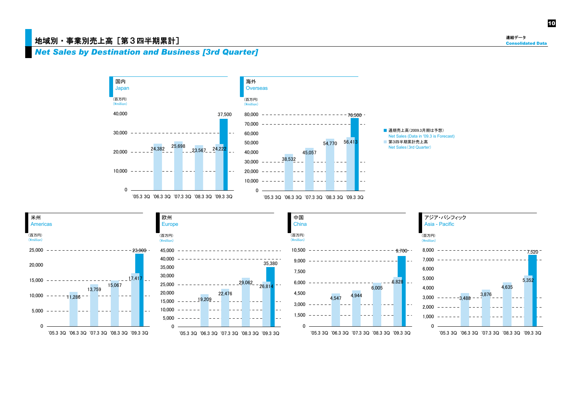### 地域別・事業別売上高「第3四半期累計]

連結データ**Consolidated Data** 

### *Net Sales by Destination and Business [3rd Quarter]*

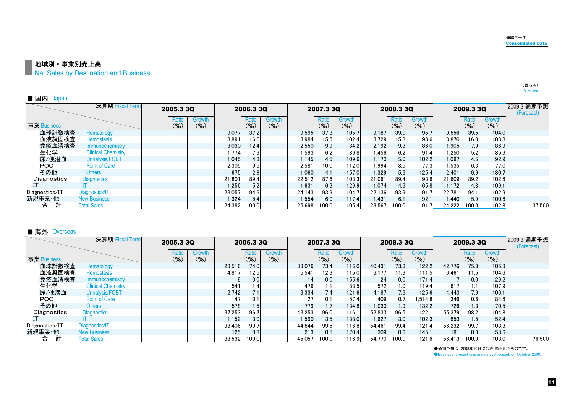(百万円)  $(\tt{4}$  million)

■ 地域別・事業別売上高

**Net Sales by Destination and Business** 

| ■ 国内<br>Japan  |                           |              |                         |        |                    |                     |         |              |                  |        |                    |                     |         |              |                  |                           |
|----------------|---------------------------|--------------|-------------------------|--------|--------------------|---------------------|---------|--------------|------------------|--------|--------------------|---------------------|---------|--------------|------------------|---------------------------|
|                | 決算期 Fiscal Term           | 2005.3 3Q    |                         |        | 2006.3 3Q          |                     |         | 2007.3 3Q    |                  |        | 2008.3 3Q          |                     |         | 2009.3 3Q    |                  | 2009.3 通期予想<br>(Forecast) |
| 事業 Business    |                           | Ratio<br>(%) | <b>Growth</b><br>$($ %) |        | Ratio<br>$(9)_{0}$ | Growth<br>$(9)_{0}$ |         | Ratio<br>(%) | Growth<br>$($ %) |        | Ratio<br>$($ % $)$ | Growth<br>$($ % $)$ |         | Ratio<br>(%) | Growth<br>$($ %) |                           |
| 血球計数検査         | Hematology                |              |                         | 9,077  | 37.2               |                     | 9,595   | 37.3         | 105.7            | 9,187  | 39.0               | 95.7                | 9,556   | 39.5         | 104.0            |                           |
| 血液凝固検査         | <b>Hemostasis</b>         |              |                         | 3,891  | 16.0               |                     | 3.984   | 15.5         | 102.4            | 3,729  | 15.81              | 93.6                | 3,870   | 16.0         | 103.8            |                           |
| 免疫血清検査         | <b>Immunochemistry</b>    |              |                         | 3,030  | 12.4               |                     | 2,550   | 9.9          | 84.2             | 2,192  | 9.3                | 86.0                | 1,905   | 7.9          | 86.9             |                           |
| 生化学            | <b>Clinical Chemistry</b> |              |                         | 1,774  | 7.3                |                     | ا593. ا |              | 89.8             | 1,456  | 6.2                | 91.4                | .250    | 5.2          | 85.9             |                           |
| 尿/便潜血          | Urinalysis/FOBT           |              |                         | 1,045  | 4.3                |                     | 1.145   | 4.5          | 109.6            | 1,170  | 5.0                | 102.2               | 1,087   | 4.5          | 92.9             |                           |
| POC            | <b>Point of Care</b>      |              |                         | 2,305  | 9.5                |                     | 2.581   | 10.0         | 112.0            | 1,994  | 8.5                | 77.3                | ا535. ا | 6.3          | 77.0             |                           |
| その他            | Others                    |              |                         | 675    | 2.8                |                     | 1.060   |              | 157.0            | 1,329  | 5.6                | 125.4               | 2,401   | 9.9          | 180.7            |                           |
| Diagnostics    | <b>Diagnostics</b>        |              |                         | 21,801 | 89.4               |                     | 22.512  | 87.6         | 103.3            | 21,061 | 89.4               | 93.6                | 21,609  | 89.2         | 102.6            |                           |
|                |                           |              |                         | 1,256  | 5.2                |                     | 1.631   | 6.3          | 129.9            | 1,074  | 4.6                | 65.8                | 1,172   | 4.8          | 109.1            |                           |
| Diagnostics/IT | Diagnostics/IT            |              |                         | 23,057 | 94.6               |                     | 24.143  | 93.9         | 104.7            | 22.136 | 93.9               | 91.7                | 22,781  | 94.1         | 102.9            |                           |
| 新規事業·他         | <b>New Business</b>       |              |                         | 1,324  | 5.4                |                     | 1.554   | 6.0          | 117.4            | 1,431  | 6.1                | 92.1                | 1.440   | 5.9          | 100.6            |                           |
| 合              | <b>Total Sales</b>        |              |                         | 24,382 | 100.0              |                     | 25,698  | 100.0        | 105.4            | 23,567 | 100.0              | 91.7                | 24,222  | 100.0        | 102.8            | 37,500                    |

#### ■ 海外 Overseas

|                | 決算期 Fiscal Term           | 2005.3 3Q          |                 |        | 2006.3 3Q          |                     |        | 2007.3 3Q       |                     |        | 2008.3 3Q          |                     |        | 2009.3 3Q       |                     | 2009.3 通期予想<br>(Forecast) |
|----------------|---------------------------|--------------------|-----------------|--------|--------------------|---------------------|--------|-----------------|---------------------|--------|--------------------|---------------------|--------|-----------------|---------------------|---------------------------|
| 事業 Business    |                           | Ratio<br>$(9)_{0}$ | Growth<br>(9/6) |        | Ratio<br>$($ % $)$ | Growth<br>$($ % $)$ |        | Ratio<br>$($ %) | Growth<br>$(9)_{0}$ |        | Ratio<br>$(9)_{0}$ | Growth<br>$(9)_{0}$ |        | Ratio<br>$($ %) | Growth<br>$($ % $)$ |                           |
| 血球計数検査         | Hematology                |                    |                 | 28,516 | 74.0               |                     | 33,076 | 73.4            | 116.0               | 40,431 | 73.8               | 122.2               | 42,776 | 75.8            | 105.8               |                           |
| 血液凝固検査         | <b>Hemostasis</b>         |                    |                 | 4.817  | 12.5               |                     | 5,541  | 12.3            | 115.0               | 6,177  | 11.3 <sub>1</sub>  | 111.5               | 6.461  | 11.5            | 104.6               |                           |
| 免疫血清検査         | Immunochemistry           |                    |                 |        | 0.0                |                     | 14     | 0.0             | 155.6               | 24     | 0.0                | 171.4               |        | 0.0             | 29.2                |                           |
| 生化学            | <b>Clinical Chemistry</b> |                    |                 | 541    | 1.4                |                     | 479    |                 | 88.5                | 572    | 1.0 <sub>l</sub>   | 119.4               | 617    | 1.1             | 107.9               |                           |
| 尿/便潜血          | Urinalysis/FOBT           |                    |                 | 2.742  | 7.1                |                     | 3,334  | 7.4             | 121.6               | 4,187  | 7.6                | 125.6               | 4.443  | 7.9             | 106.1               |                           |
| POC.           | Point of Care             |                    |                 | 47     | 0.1                |                     | 27     |                 | 57.4                | 409    | 0.7                | .514.8              | 346    | 0.6             | 84.6                |                           |
| その他            | Others                    |                    |                 | 578    | 1.5                |                     | 779    |                 | 134.8               | 1,030  | 1.9                | 132.2               | 726    | 1.3             | 70.5                |                           |
| Diagnostics    | <b>Diagnostics</b>        |                    |                 | 37,253 | 96.7               |                     | 43.253 | 96.0            | 116.1               | 52,833 | 96.5               | 122.1               | 55,379 | 98.2            | 104.8               |                           |
|                |                           |                    |                 | 1.152  | 3.0                |                     | 1,590  | 3.5             | 138.0               | 1,627  | 3.0                | 102.3               | 853    | 1.5             | 52.4                |                           |
| Diagnostics/IT | Diagnostics/IT            |                    |                 | 38.406 | 99.7               |                     | 44.844 | 99.5            | 116.8               | 54.461 | 99.4               | 121.4               | 56.232 | 99.7            | 103.3               |                           |
| 新規事業·他         | <b>New Business</b>       |                    |                 | 125    | 0.3                |                     | 213    | 0.5             | 170.4               | 309    | 0.6                | 145.1               | 181    | 0.3             | 58.6                |                           |
| 合              | <b>Total Sales</b>        |                    |                 | 38.532 | 100.0              |                     | 45.057 | 100.0           | 116.91              | 54.770 | 100.0              | 121.6               | 56,413 | 100.0           | 103.0               | 76.500                    |

●通期予想は、2008年10月に公表(修正)したものです。

●Business forecast was announced(revised) on October 2008.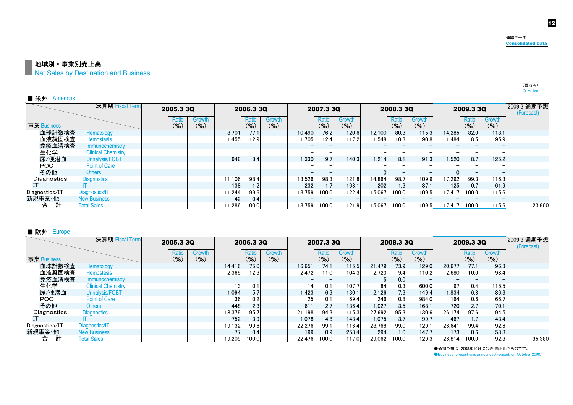12

#### 地域別・事業別売上高

Net Sales by Destination and Business

| ■ 米州 Americas  |                           |                    |                  |       |              |                  |        |                    |                  |        |              |               |        |                 |                     |                           |
|----------------|---------------------------|--------------------|------------------|-------|--------------|------------------|--------|--------------------|------------------|--------|--------------|---------------|--------|-----------------|---------------------|---------------------------|
|                | 決算期 Fiscal Term           | 2005.3 3Q          |                  |       | 2006.3 3Q    |                  |        | 2007.3 3Q          |                  |        | 2008.3 3Q    |               |        | 2009.3 3Q       |                     | 2009.3 通期予想<br>(Forecast) |
| 事業 Business    |                           | Ratio<br>$($ % $)$ | Growth<br>$($ %) |       | Ratio<br>(%) | Growth<br>$($ %) |        | Ratio<br>$($ % $)$ | Growth<br>$($ %) |        | Ratio<br>(%) | Growth<br>(%) |        | Ratio<br>$($ %) | Growth<br>$($ % $)$ |                           |
| 血球計数検査         | Hematology                |                    |                  | 8,701 | 77.1         |                  | 10,490 | 76.2               | 120.6            | 12,100 | 80.3         | 115.3         | 14,285 | 82.0            | 118.1               |                           |
| 血液凝固検査         | <b>Hemostasis</b>         |                    |                  | 1.455 | 12.9         |                  | 1.705  | 12.4               | 117.2            | 1.548  | 10.3         | 90.8          | 1.484  | 8.5             | 95.9                |                           |
| 免疫血清検査         | Immunochemistry           |                    |                  |       |              |                  |        |                    |                  |        |              |               |        |                 |                     |                           |
| 生化学            | <b>Clinical Chemistry</b> |                    |                  |       |              |                  |        |                    |                  |        |              |               |        |                 |                     |                           |
| 尿/便潜血          | Urinalysis/FOBT           |                    |                  | 948   | 8.4          |                  | 1,330  | 9.7                | 140.3            | 1,214  | 8.1          | 91.3          | 1.520  | 8.7             | 125.2               |                           |
| POC.           | <b>Point of Care</b>      |                    |                  |       |              |                  |        |                    |                  |        |              |               |        |                 |                     |                           |
| その他            | Others                    |                    |                  |       |              |                  |        |                    |                  |        |              |               |        |                 |                     |                           |
| Diagnostics    | <b>Diagnostics</b>        |                    |                  | 1.106 | 98.4         |                  | 13,526 | 98.3               | 121.8            | 14,864 | 98.7         | 109.9         | 17,292 | 99.3            | 116.3               |                           |
|                |                           |                    |                  | 138   | 1.2          |                  | 232    |                    | 168.1            | 202    | 1.3          | 87.1          | 125    | 0.7             | 61.9                |                           |
| Diagnostics/IT | Diagnostics/IT            |                    |                  | 1.244 | 99.6         |                  | 13.759 | 100.0              | 122.4            | 15,067 | 100.0        | 109.5         | 17.417 | 100.0           | 115.6               |                           |
| 新規事業·他         | <b>New Business</b>       |                    |                  | 42    | 0.4          |                  |        |                    |                  |        |              |               |        |                 |                     |                           |
| 計<br>合         | <b>Total Sales</b>        |                    |                  | 1.286 | 100.0        |                  | 13.759 | 100.0              | 121.9            | 15.067 | 100.0        | 109.5         | 17.417 | 100.0           | 115.6               | 23.900                    |

#### ■ 欧州 Europe

|                | 決算期 Fiscal Term           | 2005.3 3Q |                    |                     |        | 2006.3 3Q      |                            |                 | 2007.3 3Q          |                     |        | 2008.3 3Q        |                 |        | 2009.3 3Q          |                     | 2009.3 通期予想<br>(Forecast) |
|----------------|---------------------------|-----------|--------------------|---------------------|--------|----------------|----------------------------|-----------------|--------------------|---------------------|--------|------------------|-----------------|--------|--------------------|---------------------|---------------------------|
| 事業 Business    |                           |           | Ratio<br>$(9)_{0}$ | Growth<br>$($ % $)$ |        | Ratio<br>(9/6) | <b>Growth</b><br>$($ % $)$ |                 | Ratio<br>$(9)_{0}$ | Growth<br>$($ % $)$ |        | Ratio<br>(9/6)   | Growth<br>(9/6) |        | Ratio<br>$($ % $)$ | Growth<br>$(9)_{0}$ |                           |
| 血球計数検査         | Hematology                |           |                    |                     | 14,416 | 75.0           |                            | 16,651          | 74.1               | 115.5               | 21,479 | 73.9             | <b>129.0</b>    | 20,677 | 77.1               | 96.3                |                           |
| 血液凝固検査         | <b>Hemostasis</b>         |           |                    |                     | 2.369  | 12.3           |                            | 2,472           | 1.0                | 104.3               | 2,723  | 9.4              | 110.2           | 2.680  | 10.0               | 98.4                |                           |
| 免疫血清検査         | Immunochemistry           |           |                    |                     |        |                |                            |                 |                    |                     |        | 0.0 <sub>l</sub> |                 |        |                    |                     |                           |
| 生化学            | <b>Clinical Chemistry</b> |           |                    |                     | 13     | 0.1            |                            | 14 <sub>1</sub> | 0.1                | 107.7               | 84     | 0.3              | 600.0           | 97     | 0.4                | 115.5               |                           |
| 尿/便潜血          | Urinalysis/FOBT           |           |                    |                     | 1.094  | 5.7            |                            | 1,423           | 6.3                | 130.1               | 2,126  | 7.3              | 149.4           | 1,834  | 6.8                | 86.3                |                           |
| POC            | <b>Point of Care</b>      |           |                    |                     | 36     | 0.2            |                            | 25              | 0.1                | 69.4                | 246    | 0.8              | 984.0           | 164    | 0.6                | 66.7                |                           |
| その他            | <b>Others</b>             |           |                    |                     | 448    | 2.3            |                            | 611             | 2.7                | 136.4               | 1,027  | 3.5              | 168.1           | 720    | 2.7                | 70.1                |                           |
| Diagnostics    | <b>Diagnostics</b>        |           |                    |                     | 18,379 | 95.7           |                            | 21,198          | 94.3               | 115.3               | 27,692 | 95.3             | 130.6           | 26,174 | 97.6               | 94.5                |                           |
|                |                           |           |                    |                     | 752    | 3.9            |                            | 1,078           | 4.8                | 143.4               | 1,075  | 3.7              | 99.7            | 467    | 1.7                | 43.4                |                           |
| Diagnostics/IT | Diagnostics/IT            |           |                    |                     | 19.132 | 99.6           |                            | 22.276          | 99.1               | 116.4               | 28.768 | 99.0             | 129.1           | 26,641 | 99.4               | 92.6                |                           |
| 新規事業·他         | <b>New Business</b>       |           |                    |                     | 77     | 0.4            |                            | 199             | 0.9                | 258.4               | 294    | 1.0 <sub>l</sub> | 147.7           | 173    | 0.6                | 58.8                |                           |
| 計<br>合         | <b>Total Sales</b>        |           |                    |                     | 19.209 | 100.0          |                            | 22.476          | 100.0              | 117.0               | 29.062 | 100.0            | 129.3           | 26,814 | 100.0              | 92.3                | 35,380                    |

●通期予想は、2008年10月に公表(修正)したものです。

●Business forecast was announced(revised) on October 2008.

(百万円)  $(\tt{4}$  million)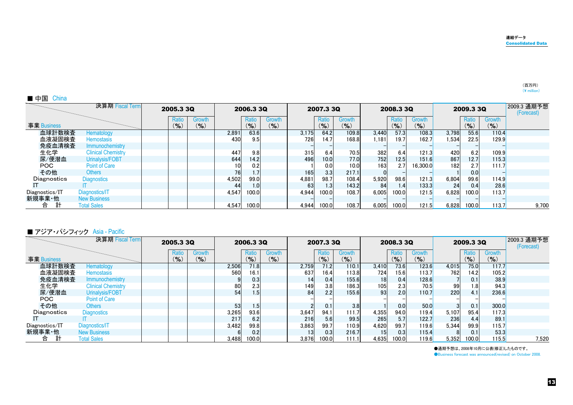| ■ 中国<br>China  |                           |              |                     |       |                 |                  |       |              |                   |       |                 |                     |       |                  |                  |                           |
|----------------|---------------------------|--------------|---------------------|-------|-----------------|------------------|-------|--------------|-------------------|-------|-----------------|---------------------|-------|------------------|------------------|---------------------------|
|                | 決算期 Fiscal Term           | 2005.3 3Q    |                     |       | 2006.3 3Q       |                  |       | 2007.3 3Q    |                   |       | 2008.3 3Q       |                     |       | 2009.3 3Q        |                  | 2009.3 通期予想<br>(Forecast) |
| 事業 Business    |                           | Ratio<br>(%) | Growth<br>$($ % $)$ |       | Ratio<br>$($ %) | Growth<br>$($ %) |       | Ratio<br>(%) | Growth<br>$(\% )$ |       | Ratio<br>$($ %) | Growth<br>$($ % $)$ |       | Ratio<br>$($ %)  | Growth<br>$($ %) |                           |
| 血球計数検査         | Hematology                |              |                     | 2,891 | 63.6            |                  | 3,175 | 64.2         | 109.8             | 3,440 | 57.3            | 108.3               | 3,798 | 55.6             | 110.4            |                           |
| 血液凝固検査         | <b>Hemostasis</b>         |              |                     | 430   | 9.5             |                  | 726   | 14.7         | 168.8             | 1.181 | 19.7            | 162.7               | 1,534 | 22.5             | 129.9            |                           |
| 免疫血清検査         | Immunochemistry           |              |                     |       |                 |                  |       |              |                   |       |                 |                     |       |                  |                  |                           |
| 生化学            | <b>Clinical Chemistry</b> |              |                     | 447   | 9.8             |                  | 315   | 6.4          | 70.5              | 382   | 6.4             | 121.3               | 420   | 6.2              | 109.9            |                           |
| 尿/便潜血          | Urinalysis/FOBT           |              |                     | 644   | 14.2            |                  | 496   | 10.0         | 77.0              | 752   | 12.5            | 151.6               | 867   | 12.7             | 115.3            |                           |
| POC            | <b>Point of Care</b>      |              |                     | 10    | 0.2             |                  |       | 0.0          | 10.0              | 163   | 2.7             | 16.300.0            | 182   | 2.7 <sub>l</sub> | 111.7            |                           |
| その他            | Others                    |              |                     | 76    | 1.7             |                  | 165   | 3.3          | 217.1             |       |                 |                     |       | 0.0              |                  |                           |
| Diagnostics    | <b>Diagnostics</b>        |              |                     | 4,502 | 99.0            |                  | 4,881 | 98.7         | 108.4             | 5,920 | 98.6            | 121.3               | 6,804 | 99.6             | 114.9            |                           |
|                |                           |              |                     | 44    | 1.0             |                  | 63    | 1.3          | 143.2             | 84    | 1.4             | 133.3               | 24    | 0.4              | 28.6             |                           |
| Diagnostics/IT | Diagnostics/IT            |              |                     | 4.547 | 100.0           |                  | 4.944 | 100.0        | 108.7             | 6.005 | 100.0           | 121.5               | 6.828 | 100.0            | 113.7            |                           |
| 新規事業·他         | <b>New Business</b>       |              |                     |       |                 |                  |       |              |                   |       |                 |                     |       |                  |                  |                           |
| 台              | <b>Total Sales</b>        |              |                     | 4,547 | 100.0           |                  | 4,944 | 100.0        | 108.7             | 6,005 | 100.0           | 121.5               | 6,828 | 100.0            | 113.7            | 9,700                     |

#### ■ アジア・パシフィック Asia - Pacific

|                | 決算期 Fiscal Term           | 2005.3 3Q          |                 |       | 2006.3 3Q          |                     |                 | 2007.3 3Q                         |                     |                 | 2008.3 3Q          |                     |       | 2009.3 3Q          |                  | 2009.3 通期予想<br>(Forecast) |
|----------------|---------------------------|--------------------|-----------------|-------|--------------------|---------------------|-----------------|-----------------------------------|---------------------|-----------------|--------------------|---------------------|-------|--------------------|------------------|---------------------------|
| 事業 Business    |                           | Ratio<br>$(9)_{0}$ | Growth<br>(9/6) |       | Ratio<br>$($ % $)$ | Growth<br>$($ % $)$ |                 | Ratio<br>$\mathcal{O}_\mathbf{0}$ | Growth<br>$(9)_{0}$ |                 | Ratio<br>$(9)_{0}$ | Growth<br>$($ % $)$ |       | Ratio<br>$($ % $)$ | Growth<br>$($ %) |                           |
| 血球計数検査         | Hematology                |                    |                 | 2,506 | 71.8               |                     | 2,759           | 71.2                              | 110.1               | 3,410           | 73.6               | 123.6               | 4,015 | 75.0               | 117.7            |                           |
| 血液凝固検査         | <b>Hemostasis</b>         |                    |                 | 560   | 16.1               |                     | 637             | 16.4                              | 113.8               | 724             | 15.6               | 113.7               | 762   | 14.2               | 105.2            |                           |
| 免疫血清検査         | Immunochemistry           |                    |                 |       | 0.3                |                     | 14              | 0.4                               | 155.6               | 18 <sup>1</sup> | 0.4                | 128.6               |       | 0.1                | 38.9             |                           |
| 生化学            | <b>Clinical Chemistry</b> |                    |                 | 80    | 2.3                |                     | 149             | 3.8                               | 186.3               | 105             | 2.3                | 70.5                | 99    | 1.8                | 94.3             |                           |
| 尿/便潜血          | Urinalysis/FOBT           |                    |                 | 54    | 1.5                |                     | 84              | 2.2                               | 155.6               | 93              | 2.0                | 110.7               | 220   | 4.1                | 236.6            |                           |
| POC.           | Point of Care             |                    |                 |       |                    |                     |                 |                                   |                     |                 |                    |                     |       |                    |                  |                           |
| その他            | Others                    |                    |                 | 53    | 1.5                |                     |                 | 0.1                               | 3.8                 |                 | 0.0                | 50.0                |       | 0.1                | 300.0            |                           |
| Diagnostics    | <b>Diagnostics</b>        |                    |                 | 3,265 | 93.6               |                     | 3,647           | 94.1                              | 111.7               | 4,355           | 94.0               | 119.4               | 5,107 | 95.4               | 117.3            |                           |
|                |                           |                    |                 | 217   | 6.2                |                     | 216             | 5.6                               | 99.5                | 265             | 5.7                | 122.7               | 236   | 4.4                | 89.1             |                           |
| Diagnostics/IT | Diagnostics/IT            |                    |                 | 3.482 | 99.8               |                     | 3,863           | 99.7                              | 110.9               | 4,620           | 99.7               | 119.6               | 5.344 | 99.9               | 115.7            |                           |
| 新規事業·他         | <b>New Business</b>       |                    |                 |       | 0.2                |                     | 13 <sup>1</sup> | 0.3                               | 216.7               | 15              | 0.3                | 115.4               |       | 0.1                | 53.3             |                           |
| 合              | <b>Total Sales</b>        |                    |                 | 3.488 | 100.0              |                     | 3.876           | 100.0                             | 111.1               | 4,635           | 100.0              | 119.6               | 5,352 | 100.0              | 115.5            | 7,520                     |

●通期予想は、2008年10月に公表(修正)したものです。

●Business forecast was announced(revised) on October 2008.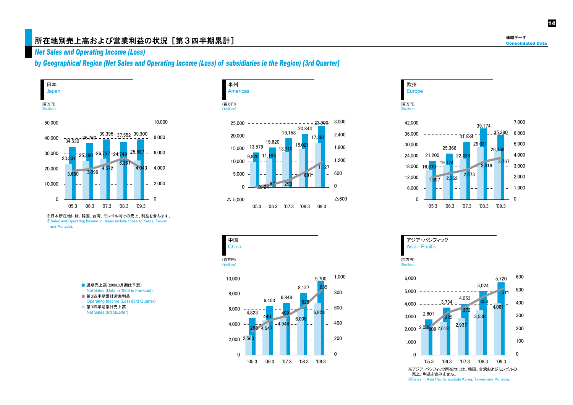### 所在地別売上高および営業利益の状況[第3四半期累計] Consolidated Data かいしょう こうしょう こうしょう こうしょう こうしょう こうしょう

### *Net Sales and Operating Income (Loss)*

*by Geographical Region (Net Sales and Operating Income (Loss) of subsidiaries in the Region) [3rd Quarter]* 



※日本所在地には、韓国、台湾、モンゴル向けの売上、利益を含みます。 ※Sales and Operating Income in Japan include those to Korea, Taiwan and Mongolia.

- 通期売上高(2009.3月期は予想) Net Sales (Data in '09.3 is Forecast) ■ 第3四半期累計営業利益
- Operating Income (Loss)(3rd Quarter)
- 第3四半期累計売上高 Net Sales(3rd Quarter)









連結データ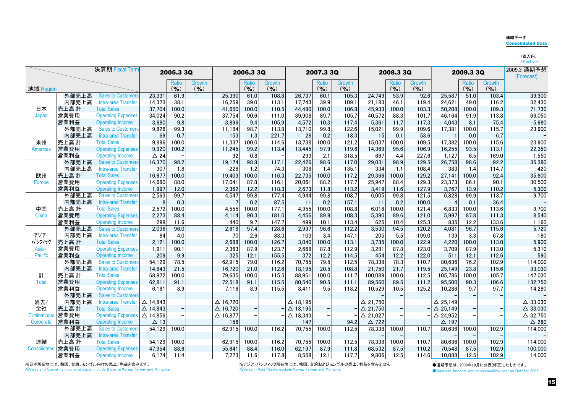#### 連結データConsolidated Data

(百万円)<br>(¥ million)

|                   |              | 決算期 Fiscal Term                                      |                    | 2005.3 3Q      |               |                    | 2006.3 3Q     |                |                  | 2007.3 3Q     |                |                    | 2008.3 3Q     |                |                         | 2009.3 3Q     |                | 2009.3 通期予想<br>(Forecast) |
|-------------------|--------------|------------------------------------------------------|--------------------|----------------|---------------|--------------------|---------------|----------------|------------------|---------------|----------------|--------------------|---------------|----------------|-------------------------|---------------|----------------|---------------------------|
|                   |              |                                                      |                    | Ratio          | <b>Growth</b> |                    | Ratio         | <b>Growth</b>  |                  | Ratio         | <b>Growth</b>  |                    | Ratio         | Growth         |                         | Ratio         | Growth         |                           |
| 地域 Region         |              |                                                      |                    | $($ % $)$      | $($ % $)$     |                    | $($ % $)$     | $($ % $)$      |                  | $($ % $)$     | $($ % $)$      |                    | $($ % $)$     | (96)           |                         | $($ % $)$     | $($ % $)$      |                           |
|                   | 外部売上高        | <b>Sales to Customers</b>                            | 23,331             | 61.9           |               | 25,390             | 61.0          | 108.8          | 26,737           | 60.1          | 105.3          | 24,749             | 53.9          | 92.6           | 25,587                  | 51.0          | 103.4          | 39,300                    |
|                   | 内部売上高        | Intra-area Transfer                                  | 14,373             | 38.1           |               | 16,259             | 39.0          | 113.1          | 17,743           | 39.9          | 109.1          | 21,183             | 46.1          | 119.4          | 24,621                  | 49.0          | 116.2          | 32,430                    |
| 日本                | 売上高 計        | <b>Total Sales</b>                                   | 37,704             | 100.0          |               | 41,650             | 100.0         | 110.5          | 44,480           | 100.0         | 106.8          | 45,933             | 100.0         | 103.3          | 50,208                  | 100.0         | 109.3          | 71,730                    |
| Japan             | 営業費用         | <b>Operating Expenses</b>                            | 34.024             | 90.2           |               | 37,754             | 90.6          | 111.0          | 39.908           | 89.7          | 105.7          | 40,572             | 88.3          | 101.7          | 46.164                  | 91.9          | 113.8          | 66,050                    |
|                   | 営業利益         | <b>Operating Income</b>                              | 3,680              | 9.8            |               | 3,896              | 9.4           | 105.9          | 4,572            | 10.3          | 117.4          | 5,361              | 11.7          | 117.3          | 4.043                   | 8.1           | 75.4           | 5,680                     |
|                   | 外部売上高        | <b>Sales to Customers</b>                            | 9,826              | 99.3           |               | 11,184             | 98.7          | 113.8          | 13,710           | 99.8          | 122.6          | 15,021             | 99.9          | 109.6          | 17,381                  | 100.0         | 115.7          | 23,900                    |
|                   | 内部売上高        | Intra-area Transfer                                  | 69                 | 0.7            |               | 153                | 1.3           | 221.7          | 28               | 0.2           | 18.3           | 15                 | 0.1           | 53.6           |                         | 0.0           | 6.7            |                           |
| 米州                | 売上高 計        | <b>Total Sales</b>                                   | 9,896              | 100.0          |               | 11,337             | 100.0         | 114.6          | 13,738           | 100.0         | 121.2          | 15,037             | 100.0         | 109.5          | 17,382                  | 100.0         | 115.6          | 23,900                    |
| <b>Americas</b>   | 営業費用         | <b>Operating Expenses</b>                            | 9,920              | 100.2          |               | 11,245             | 99.2          | 113.4          | 13,445           | 97.9          | 119.6          | 14,369             | 95.6          | 106.9          | 16,255                  | 93.5          | 113.1          | 22,350                    |
|                   | 営業利益         | <b>Operating Income</b>                              | $\triangle$ 24     |                |               | 92                 | 0.8           |                | 293              | 2.1           | 318.5          | 667                | 4.4           | 227.6          | 1,127                   | 6.5           | 169.0          | 1,550                     |
|                   | 外部売上高        | <b>Sales to Customers</b>                            | 16,370             | 98.2           |               | 19,174             | 98.8          | 117.1          | 22,426           | 98.6          | 117.0          | 29,031             | 98.9          | 129.5          | 26.758                  | 98.6          | 92.2           | 35,380                    |
|                   | 内部売上高        | Intra-area Transfer                                  | 307                | 1.8            |               | 228                | 1.2           | 74.3           | 308              | 1.4           | 135.1          | 334                | 1.1           | 108.4          | 383                     | 1.4           | 114.7          | 420                       |
| 欧州                | 売上高 計        | <b>Total Sales</b>                                   | 16,677             | 100.0          |               | 19,403             | 100.0         | 116.3          | 22,735           | 100.0         | 117.2          | 29,366             | 100.0         | 129.2          | 27,141                  | 100.0         | 92.4           | 35,800                    |
| Europe            | 営業費用         | <b>Operating Expenses</b>                            | 14,680             | 88.0           |               | 17,041             | 87.8          | 116.1          | 20,061           | 88.2          | 117.7          | 25,947             | 88.4          | 129.3          | 23,373                  | 86.1          | 90.1           | 30,500                    |
|                   | 営業利益         | <b>Operating Income</b>                              | 1,997              | 12.0           |               | 2,362              | 12.2          | 118.3          | 2,673            | 11.8          | 113.2          | 3,419              | 11.6          | 127.9          | 3.767                   | 13.9          | 110.2          | 5.300                     |
|                   | 外部売上高        | <b>Sales to Customers</b>                            | 2,563              | 99.7           |               | 4,547              | 99.8          | 177.4          | 4.944            | 99.8          | 108.7          | 6.005              | 99.8          | 121.5          | 6,828                   | 99.9          | 113.7          | 9,700                     |
|                   | 内部売上高        | Intra-area Transfer                                  |                    | 0.3            |               |                    | 0.2           | 87.5           | 11               | 0.2           | 157.1          | 11                 | 0.2           | 100.0          | $\overline{\mathbf{A}}$ | 0.1           | 36.4           |                           |
| 中国                | 売上高 計        | <b>Total Sales</b>                                   | 2,572              | 100.0          |               | 4,555              | 100.0         | 177.1          | 4,955            | 100.0         | 108.8          | 6,016              | 100.0         | 121.4          | 6,833                   | 100.0         | 113.6          | 9,700                     |
| China             | 営業費用         | <b>Operating Expenses</b>                            | 2,273              | 88.4           |               | 4,114              | 90.3          | 181.0          | 4,456            | 89.9          | 108.3          | 5,390              | 89.6          | 121.0          | 5,997                   | 87.8          | 111.3          | 8,540                     |
|                   | 営業利益         | <b>Operating Income</b>                              | 298                | 11.6           |               | 440                | 9.7           | 147.7          | 499              | 10.1          | 113.4          | 625                | 10.4          | 125.3          | 835                     | 12.2          | 133.6          | 1.160                     |
|                   | 外部売上高        | <b>Sales to Customers</b>                            | 2,036              | 96.0           |               | 2,618              | 97.4          | 128.6          | 2,937            | 96.6          | 112.2          | 3,530              | 94.5          | 120.2          | 4.081                   | 96.7          | 115.6          | 5,720                     |
| アジア・              | 内部売上高        | Intra-area Transfer                                  | 84                 | 4.0            |               | 70                 | 2.6           | 83.3           | 103              | 3.4           | 147.1          | 205                | 5.5           | 199.0          | 139                     | 3.3           | 67.8           | 180                       |
| パシフィック            | 売上高 計        | <b>Total Sales</b>                                   | 2,121              | 100.0          |               | 2,688              | 100.0         | 126.7          | 3.040            | 100.0         | 113.1          | 3,735              | 100.0         | 122.9          | 4,220                   | 100.0         | 113.0          | 5,900                     |
| Asia -            | 営業費用         | <b>Operating Expenses</b>                            | 1,911              | 90.1           |               | 2,363              | 87.9          | 123.7          | 2,668            | 87.8          | 112.9          | 3,281              | 87.8          | 123.0          | 3,709                   | 87.9          | 113.0          | 5,310                     |
| <b>Pacific</b>    | 営業利益         | <b>Operating Income</b><br><b>Sales to Customers</b> | 209                | 9.9<br>78.5    |               | 325                | 12.1          | 155.5          | 372              | 12.2<br>79.5  | 114.5          | 454                | 12.2<br>78.3  | 122.0          | 511                     | 12.1          | 112.6          | 590                       |
|                   | 外部売上高        |                                                      | 54,129             |                |               | 62,915             | 79.0          | 116.2          | 70,755           |               | 112.5          | 78,338             |               | 110.7          | 80,636                  | 76.2          | 102.9          | 114,000                   |
|                   | 内部売上高        | Intra-area Transfer<br><b>Total Sales</b>            | 14.843             | 21.5<br>100.0  |               | 16,720             | 21.0<br>100.0 | 112.6          | 18,195<br>88.951 | 20.5<br>100.0 | 108.8<br>111.7 | 21,750             | 21.7          | 119.5          | 25.149<br>105.786       | 23.8<br>100.0 | 115.6<br>105.7 | 33,030                    |
| 計<br><b>Total</b> | 売上高 計        | <b>Operating Expenses</b>                            | 68,972             | 91.1           |               | 79,635<br>72,518   | 91.1          | 115.5<br>115.5 | 80,540           | 90.5          | 111.1          | 100,089<br>89,560  | 100.0<br>89.5 | 112.5<br>111.2 | 95,500                  | 90.3          | 106.6          | 147,030                   |
|                   | 営業費用<br>営業利益 | <b>Operating Income</b>                              | 62,811<br>6,161    | 8.9            |               | 7,116              | 8.9           | 115.5          | 8,411            | 9.5           | 118.2          | 10,529             | 10.5          | 125.2          | 10,286                  | 9.7           | 97.7           | 132,750<br>14,280         |
|                   | 外部売上高        | <b>Sales to Customers</b>                            |                    |                |               |                    |               |                |                  |               |                |                    |               |                |                         |               |                |                           |
| 消去/               | 内部売上高        | Intra-area Transfer                                  | △ 14.843           |                |               | $\triangle$ 16,720 |               |                | $\Delta$ 18.195  |               |                | $\triangle$ 21.750 |               |                | $\triangle$ 25.149      |               |                | $\triangle$ 33,030        |
| 全社                | 売上高 計        | <b>Total Sales</b>                                   | $\triangle$ 14,843 | $\overline{a}$ |               | $\triangle$ 16,720 |               |                | $\Delta$ 18,195  |               |                | $\triangle$ 21,750 |               |                | $\triangle$ 25,149      |               |                | $\triangle$ 33,030        |
| Eliminations/     | 営業費用         | <b>Operating Expenses</b>                            | $\triangle$ 14,856 |                |               | $\Delta$ 16,877    |               |                | $\Delta$ 18,343  |               |                | $\triangle$ 21,027 |               |                | $\triangle$ 24,952      |               |                | $\triangle$ 32,750        |
| Corporate         | 営業利益         | <b>Operating Income</b>                              | $\Delta$ 13        |                |               | 156                |               |                | 147              |               | 94.2           | $\triangle$ 722    |               |                | △ 197                   |               |                | $\triangle$ 280           |
|                   | 外部売上高        | <b>Sales to Customers</b>                            | 54,129             | 100.0          |               | 62,915             | 100.0         | 116.2          | 70,755           | 100.0         | 112.5          | 78,338             | 100.0         | 110.7          | 80,636                  | 100.0         | 102.9          | 114,000                   |
|                   | 内部売上高        | Intra-area Transfer                                  |                    |                |               |                    |               |                |                  |               |                |                    |               |                |                         |               |                |                           |
| 連結                | 売上高 計        | <b>Total Sales</b>                                   | 54.129             | 100.0          |               | 62.915             | 100.0         | 116.2          | 70.755           | 100.0         | 112.5          | 78,338             | 100.0         | 110.7          | 80,636                  | 100.0         | 102.9          | 114,000                   |
| Consolidated      | 営業費用         | <b>Operating Expenses</b>                            | 47,954             | 88.6           |               | 55,641             | 88.4          | 116.0          | 62,197           | 87.9          | 111.8          | 68,532             | 87.5          | 110.2          | 70,548                  | 87.5          | 102.9          | 100,000                   |
|                   | 営業利益         | <b>Operating Income</b>                              | 6,174              | 11.4           |               | 7,273              | 11.6          | 117.8          | 8,558            | 12.1          | 117.7          | 9.806              | 12.5          | 114.6          | 10.088                  | 12.5          | 102.9          | 14,000                    |
|                   |              |                                                      |                    |                |               |                    |               |                |                  |               |                |                    |               |                |                         |               |                |                           |

※日本所在地には、韓国、台湾、モンゴル向けの売上、利益を含みます。

※アジア・パシフィック所在地には、韓国、台湾およびモンゴルの売上、利益を含みません。 ※Sales in Asia Pacific exclude Korea, Taiwan and Mongolia.

●通期予想は、2008年10月に公表(修正)したものです。 ●Business forecast was announced(revised) on October 2008.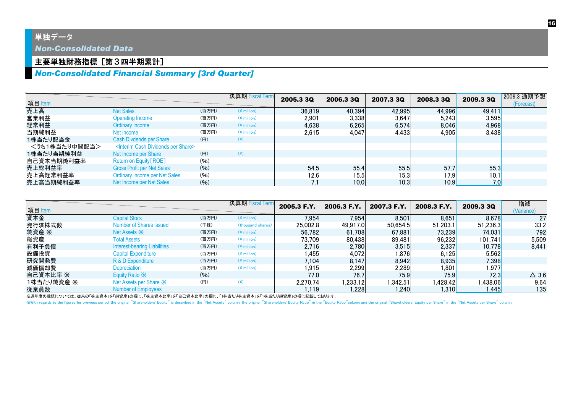### 単独データ

*Non-Consolidated Data*

### 主要単独財務指標 [第3四半期累計]

### *Non-Consolidated Financial Summary [3rd Quarter]*

| 項目 Item       |                                                          |       | 決算期 Fiscal Term | 2005.3 3Q | 2006.3 3Q | 2007.3 3Q | 2008.3 3Q | 2009.3 3Q | 2009.3 通期予想<br>(Forecast) |
|---------------|----------------------------------------------------------|-------|-----------------|-----------|-----------|-----------|-----------|-----------|---------------------------|
| 売上高           | <b>Net Sales</b>                                         | (百万円) | $(*$ million)   | 36,819    | 40,394    | 42,995    | 44,996    | 49,411    |                           |
| 営業利益          | <b>Operating Income</b>                                  | (百万円) | $(*$ million)   | 2,901     | 3,338     | 3,647     | 5,243     | 3,595     |                           |
| 経常利益          | Ordinary Income                                          | (百万円) | $(*$ million)   | 4.638     | 6.265     | 6.574     | 8,046     | 4,968     |                           |
| 当期純利益         | Net Income                                               | (百万円) | $(*$ million)   | 2.615     | 4.047     | 4.433     | 4.905     | 3,438     |                           |
| 1株当たり配当金      | <b>Cash Divdends per Share</b>                           | (円)   | (¥)             |           |           |           |           |           |                           |
| <うち1株当たり中間配当> | <interim cash="" dividends="" per="" share=""></interim> |       |                 |           |           |           |           |           |                           |
| 1株当たり当期純利益    | Net Income per Share                                     | (円)   | $(\c{(*)}$      |           |           |           |           |           |                           |
| 自己資本当期純利益率    | Return on Equity [ROE]                                   | (96)  |                 |           |           |           |           |           |                           |
| 売上総利益率        | <b>Gross Profit per Net Sales</b>                        | (96)  |                 | 54.5      | 55.4      | 55.5      | 57.7      | 55.3      |                           |
| 売上高経常利益率      | <b>Ordinary Income per Net Sales</b>                     | (96)  |                 | 12.6      | 15.5      | 15.3      | 17.9      | 10.1      |                           |
| 売上高当期純利益率     | Net Income per Net Sales                                 | (96)  |                 | 7.1       | 10.0      | 10.3      | 10.9      | 7.0       |                           |

| 項目 Item    |                                     |       | 決算期 Fiscal Term   | 2005.3 F.Y. | 2006.3 F.Y. | 2007.3 F.Y. | 2008.3 F.Y. | <b>2009.3 3Q</b> | 増減<br>(Variance) |
|------------|-------------------------------------|-------|-------------------|-------------|-------------|-------------|-------------|------------------|------------------|
| 資本金        | <b>Capital Stock</b>                | (百万円) | $(*$ million)     | 7,954       | 7,954       | 8,501       | 8,651       | 8,678            | 27               |
| 発行済株式数     | Number of Shares Issued             | (千株)  | (thousand shares) | 25,002.8    | 49.917.0    | 50,654.5    | 51.203.1    | 51.236.3         | 33.2             |
| 純資産 ※      | Net Assets $\mathbb{X}$             | (百万円) | $(*$ million)     | 56.782      | 61.708      | 67.881      | 73.239      | 74.031           | 792              |
| 総資産        | <b>Total Assets</b>                 | (百万円) | $(*$ million)     | 73.709      | 80,438      | 89,481      | 96,232      | 101.741          | 5,509            |
| 有利子負債      | <b>Interest-bearing Liabilities</b> | (百万円) | $(*$ million)     | 2.716       | 2,780       | 3,515       | 2,337       | 10.778           | 8.441            |
| 設備投資       | <b>Capital Expenditure</b>          | (百万円) | $(*$ million)     | 1.455       | 4,072       | 1.876       | 6.125       | 5.562            |                  |
| 研究開発費      | R & D Expenditure                   | (百万円) | $(*$ million)     | 7.104       | 8.147       | 8.942       | 8,935       | 7.398            |                  |
| 減価償却費      | Depreciation                        | (百万円) | $(*$ million)     | 1,915       | 2,299       | 2,289       | l,801       | l,977            |                  |
| 自己資本比率 ※   | Equity Ratio X                      | (96)  |                   | 77.0        | 76.7        | 75.9        | 75.9        | 72.3             | $\Delta$ 3.6     |
| 1株当たり純資産 ※ | Net Assets per Share X              | (H)   | $(\yen)$          | 2.270.74    | 1,233.12    | 1,342.51    | 1,428.42    | 1,438.06         | 9.64             |
| 従業員数       | Number of Employees                 |       |                   | 1.119       | 1.228       | .240        | 1.310       | 1,445            | 135              |

※過年度の数値については、従来の「株主資本」を「純資産」の欄に、「株主資本比率」を「自己資本比率」の欄に、「1株当たり株主資本」を「1株当たり純資産」の欄に記載しております。

With regards to the figures for previous period, the original "Shareholders' Equity" is described in the "Net Assets" column, the original "Shareholders' Equity Ratio" in the "Equity Ratio" column and the original "Shareho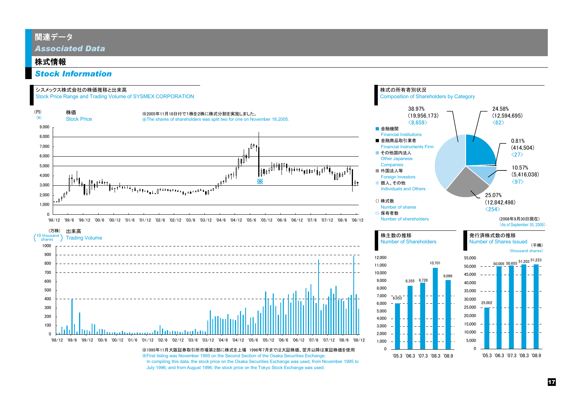### 関連データ

*Associated Data*

### 株式情報

### *Stock Information*

#### シスメックス株式会社の株価推移と出来高

Stock Price Range and Trading Volume of SYSMEX CORPORATION



'98/12 '99/6 '99/12 '00/6 '00/12 '01/6 '01/12 '02/6 '02/12 '03/6 '03/12 '04/6 '04/12 '05/6 '05/12 '06/6 '06/12 '07/6 '07/12 '08/6 '08/12

※1995年11月大阪証券取引所市場第2部に株式を上場 1996年7月までは大証株価、翌月以降は東証株価を使用※First listing was November 1995 on the Second Section of the Osaka Securities Exchange. In compiling this data, the stock price on the Osaka Securities Exchange was used, from November 1995 to July 1996, and from August 1996, the stock price on the Tokyo Stock Exchange was used.

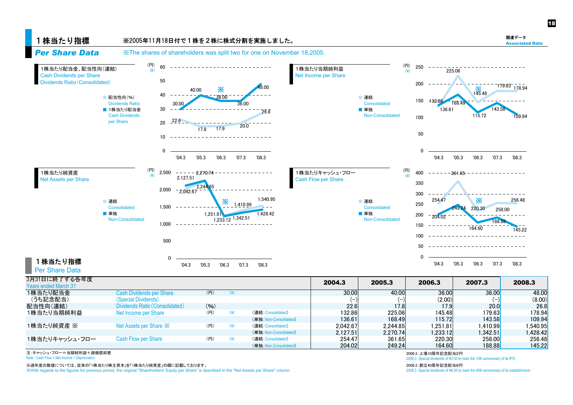#### 1株当たり指標 *Per Share Data*※2005年11月18日付で1株を2株に株式分割を実施しました。 ※The shares of shareholders was split two for one on November 18,2005. 1株当たり配当金、配当性向(連結) 60(円)  $(\mathbf{\mathsf{Y}})$ 1株当たり当期純利益(円)  $(\angle)$  $725.06$ 250



| 3月31日に終了する各年度               |                                   |       |                        | 2004.3   | 2005.3   | 2006.3   | 2007.3        | 2008.3   |
|-----------------------------|-----------------------------------|-------|------------------------|----------|----------|----------|---------------|----------|
| <b>Years ended March 31</b> |                                   |       |                        |          |          |          |               |          |
| 1株当たり配当金                    | <b>Cash Dividends per Share</b>   | (円)   |                        | 30,00    | 40.00    | 36,00    | 36.00         | 48.00    |
| (うち記念配当)                    | (Special Dividends)               |       |                        |          |          | (2.00)   |               | (8.00)   |
| 配当性向(連結)                    | Dividends Ratio (Consolidated)    | (9/6) |                        | 22.6     | 17.8     | 17.9     | <b>20.0</b>   | 26.8     |
| 1株当たり当期純利益                  | Net Income per Share              | (円)   | (連結:Consolidated)      | 132.86   | 225.06   | 145.48   | 179.63        | 178.94   |
|                             |                                   |       | (単独: Non-Consolidated) | 136.61   | 168.49   | 115.72   | <b>143.58</b> | 109.94   |
| 1株当たり純資産 ※                  | Net Assets per Share $\mathbb{X}$ | (円)   | (連結:Consolidated)      | 2.042.67 | 2.244.85 | ا251.81. | 1.410.99      | .540.95  |
|                             |                                   |       | (単独: Non-Consolidated) | 2.127.51 | 2.270.74 | 1.233.12 | 1.342.51      | 1.428.42 |
| 1株当たりキャッシュ・フロー              | <b>Cash Flow per Share</b>        | (円)   | (連結:Consolidated)      | 254.47   | 361.65   | 220.30   | 258,00        | 256.48   |
|                             |                                   |       | (単独: Non-Consolidated) | 204.02   | 249.24   | 164.60   | 188.88        | 145.22   |

注:キャッシュ・フロー=当期純利益+減価償却費

Note : Cash Flow = Net Income + Depreciation

※過年度の数値については、従来の「1株当たり株主資本」を「1株当たり純資産」の欄に記載しております。

※With regards to the figures for previous period, the original "Shareholders' Equity per Share" is described in the "Net Assets per Share" column.

2006.3:上場10周年記念配当2円

Flow = Net Income + Depreciation 2006.3:Special dividends of \2.00 to mark the 10th anniversary of its IPO.

 2008.3:創立40周年記念配当8円2008.3: Special dividends of ¥8.00 to mark the 40th anniversary of its establishment. 18

関連データAssociated Data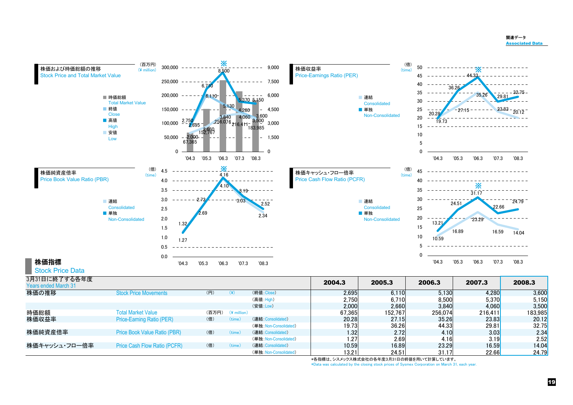#### 関連データAssociated Data



|               |                              |       |                         | $\cdots$               | $-$ , , $-$ | <b>v., v</b> | 0,000   | $\mathsf{v},\mathsf{v}$ , $\mathsf{v}$ |         |
|---------------|------------------------------|-------|-------------------------|------------------------|-------------|--------------|---------|----------------------------------------|---------|
|               |                              |       |                         | (安値:Low)               | 2.000       | 2.660        | 3.840   | 4.060                                  | 3.500   |
| 時価総額          | <b>Total Market Value</b>    | (百万円) | $(\frac{2}{3})$ million |                        | 67.365      | 152.767      | 256.074 | 216.411                                | 183,985 |
| 株価収益率         | Price-Earning Ratio (PER)    | (倍)   |                         | (連結: Consolidated)     | 20.28       | 27.15        | 35.26   | 23.83                                  | 20.12   |
|               |                              |       |                         | (単独: Non-Consolidated) | 19.73       | 36.261       | 44.331  | 29.81                                  | 32.75   |
| 株価純資産倍率       | Price Book Value Ratio (PBR) | (倍)   |                         | (連結:Consolidated)      | 1.321       | 2.72         | 4.10    | 3.03                                   | 2.34    |
|               |                              |       |                         | (単独: Non-Consolidated) | ا27. ا      | 2.69         | 4.16    | 3.19                                   | 2.52    |
| 株価キャッシュ・フロー倍率 | Price Cash Flow Ratio (PCFR) | (倍)   | time                    | (連結: Consolidated)     | 10.59       | 16.89        | 23.29   | 16.59                                  | 14.04   |
|               |                              |       |                         | (単独: Non-Consolidated) | 13.21       | 24.51        | 31.17   | 22.66                                  | 24.79   |

\*各指標は、シスメックス株式会社の各年度3月31日の終値を用いて計算しています。

\*Data was calculated by the closing stock prices of Sysmex Corporation on March 31, each year.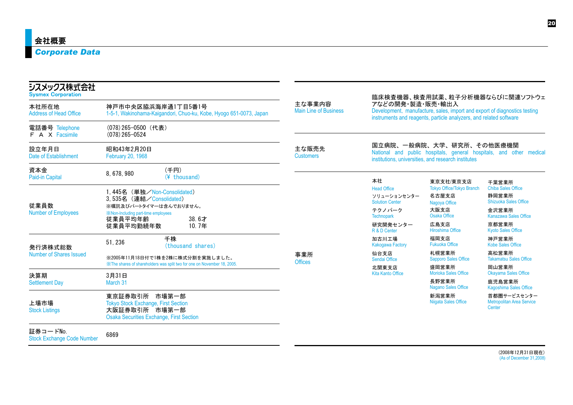### *Corporate Data*

| シスメックス株式会社<br><b>Sysmex Corporation</b>       |                                                                                                                                 |                                        |                                                                                                                                                                     |                                                                                 | 臨床検査機器、検査用試薬、粒子分析機器ならびに関連ソフトウェ                                      |  |
|-----------------------------------------------|---------------------------------------------------------------------------------------------------------------------------------|----------------------------------------|---------------------------------------------------------------------------------------------------------------------------------------------------------------------|---------------------------------------------------------------------------------|---------------------------------------------------------------------|--|
| 本社所在地<br><b>Address of Head Office</b>        | 神戸市中央区脇浜海岸通1丁目5番1号<br>1-5-1, Wakinohama-Kaigandori, Chuo-ku, Kobe, Hyogo 651-0073, Japan                                        | 主な事業内容<br><b>Main Line of Business</b> | アなどの開発・製造・販売・輸出入<br>Development, manufacture, sales, import and export of diagnostics testing<br>instruments and reagents, particle analyzers, and related software |                                                                                 |                                                                     |  |
| 電話番号 Telephone<br>F A X Facsimile             | (078) 265-0500 (代表)<br>$(078)$ 265-0524                                                                                         |                                        |                                                                                                                                                                     |                                                                                 |                                                                     |  |
| 設立年月日<br>Date of Establishment                | 昭和43年2月20日<br>February 20, 1968                                                                                                 | 主な販売先<br><b>Customers</b>              |                                                                                                                                                                     | 国立病院、一般病院、大学、研究所、その他医療機関<br>institutions, universities, and research institutes | National and public hospitals, general hospitals, and other medical |  |
| 資本金<br>Paid-in Capital                        | (千円)<br>8,678,980<br>(¥ thousand)                                                                                               |                                        | 本社                                                                                                                                                                  | 東京支社/東京支店                                                                       | 千葉営業所                                                               |  |
| 従業員数                                          | 1,445名 (単独/Non-Consolidated)<br>3,535名 (連結/Consolidated)<br>※嘱託及びパートタイマーは含んでおりません。                                              |                                        | <b>Head Office</b><br>ソリューションセンター<br><b>Solution Center</b>                                                                                                         | <b>Tokyo Office/Tokyo Branch</b><br>名古屋支店<br>Nagoya Office                      | <b>Chiba Sales Office</b><br>静岡営業所<br><b>Shizuoka Sales Office</b>  |  |
| <b>Number of Employees</b>                    | <b>X: Non-Including part-time employees</b><br>従業員平均年齢<br>38.6才                                                                 |                                        | テクノパーク<br><b>Technopark</b>                                                                                                                                         | 大阪支店<br>Osaka Office                                                            | 金沢営業所<br><b>Kanazawa Sales Office</b>                               |  |
|                                               | 10.7年<br>従業員平均勤続年数                                                                                                              |                                        | 研究開発センター<br>R & D Center                                                                                                                                            | 広島支店<br><b>Hiroshima Office</b>                                                 | 京都営業所<br><b>Kyoto Sales Office</b>                                  |  |
| 発行済株式総数                                       | 千株<br>51, 236<br>(thousand shares)                                                                                              |                                        | 加古川工場<br><b>Kakogawa Factory</b>                                                                                                                                    | 福岡支店<br><b>Fukuoka Office</b>                                                   | 神戸営業所<br><b>Kobe Sales Office</b>                                   |  |
| <b>Number of Shares Issued</b>                | ※2005年11月18日付で1株を2株に株式分割を実施しました。                                                                                                | 事業所<br><b>Offices</b>                  | 仙台支店<br>Sendai Office                                                                                                                                               | 札幌営業所<br><b>Sapporo Sales Office</b>                                            | 高松営業所<br><b>Takamatsu Sales Office</b>                              |  |
| 決算期                                           | XX The shares of shareholders was split two for one on November 18, 2005.<br>3月31日                                              |                                        | 北関東支店<br><b>Kita Kanto Office</b>                                                                                                                                   | 盛岡営業所<br>Morioka Sales Office                                                   | 岡山営業所<br><b>Okayama Sales Office</b>                                |  |
| <b>Settlement Day</b>                         | March 31                                                                                                                        |                                        |                                                                                                                                                                     | 長野営業所<br><b>Nagano Sales Office</b>                                             | 鹿児島営業所<br>Kagoshima Sales Office                                    |  |
| 上場市場<br><b>Stock Listings</b>                 | 東京証券取引所 市場第一部<br><b>Tokyo Stock Exchange, First Section</b><br>大阪証券取引所 市場第一部<br><b>Osaka Securities Exchange, First Section</b> |                                        |                                                                                                                                                                     | 新潟営業所<br>Niigata Sales Office                                                   | 首都圏サービスセンター<br><b>Metropolitan Area Service</b><br><b>Center</b>    |  |
| 証券コードNo.<br><b>Stock Exchange Code Number</b> | 6869                                                                                                                            |                                        |                                                                                                                                                                     |                                                                                 |                                                                     |  |

(2008年12月31日現在) (As of December 31,2008)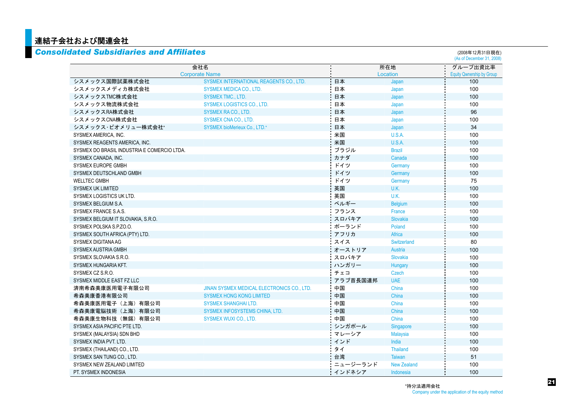# <mark>■ 連結子会社および関連会社</mark><br>■ Consolidated Subsidia

|                                             | 会社名                                        |          | 所在地                |                                  |  |  |
|---------------------------------------------|--------------------------------------------|----------|--------------------|----------------------------------|--|--|
|                                             | <b>Corporate Name</b>                      |          | Location           | <b>Equity Qwnership by Group</b> |  |  |
| シスメックス国際試薬株式会社                              | SYSMEX INTERNATIONAL REAGENTS CO., LTD.    | 日本       | Japan              | 100                              |  |  |
| シスメックスメディカ株式会社                              | <b>SYSMEX MEDICA CO., LTD.</b>             | 日本       | Japan              | 100                              |  |  |
| シスメックスTMC株式会社                               | <b>SYSMEX TMC., LTD.</b>                   | 日本       | Japan              | 100                              |  |  |
| シスメックス物流株式会社                                | SYSMEX LOGISTICS CO., LTD.                 | 日本       | Japan              | 100                              |  |  |
| シスメックスRA株式会社                                | <b>SYSMEX RACO., LTD.</b>                  | 日本       | Japan              | 96                               |  |  |
| シスメックスCNA株式会社                               | <b>SYSMEX CNA CO., LTD.</b>                | 日本       | Japan              | 100                              |  |  |
| シスメックス・ビオメリュー株式会社*                          | <b>SYSMEX bioMerieux Co., LTD.*</b>        | 日本       | Japan              | 34                               |  |  |
| SYSMEX AMERICA, INC.                        |                                            | 米国       | U.S.A.             | 100                              |  |  |
| SYSMEX REAGENTS AMERICA, INC.               |                                            | 米国       | U.S.A.             | 100                              |  |  |
| SYSMEX DO BRASIL INDUSTRIA E COMERCIO LTDA. |                                            | ブラジル     | <b>Brazil</b>      | 100                              |  |  |
| SYSMEX CANADA, INC.                         |                                            | カナダ      | Canada             | 100                              |  |  |
| SYSMEX EUROPE GMBH                          |                                            | ドイツ      | Germany            | 100                              |  |  |
| SYSMEX DEUTSCHLAND GMBH                     |                                            | ドイツ      | Germany            | 100                              |  |  |
| <b>WELLTEC GMBH</b>                         |                                            | ドイツ      | Germany            | 75                               |  |  |
| <b>SYSMEX UK LIMITED</b>                    |                                            | 英国       | U.K.               | 100                              |  |  |
| SYSMEX LOGISTICS UK LTD.                    |                                            | 英国       | U.K.               | 100                              |  |  |
| SYSMEX BELGIUM S.A.                         |                                            | ベルギー     | <b>Belgium</b>     | 100                              |  |  |
| SYSMEX FRANCE S.A.S.                        |                                            | フランス     | France             | 100                              |  |  |
| SYSMEX BELGIUM IT SLOVAKIA, S.R.O.          |                                            | スロバキア    | <b>Slovakia</b>    | 100                              |  |  |
| SYSMEX POLSKA S.P.ZO.O.                     |                                            | ポーランド    | Poland             | 100                              |  |  |
| SYSMEX SOUTH AFRICA (PTY) LTD.              |                                            | アフリカ     | Africa             | 100                              |  |  |
| <b>SYSMEX DIGITANA AG</b>                   |                                            | スイス      | Switzerland        | 80                               |  |  |
| SYSMEX AUSTRIA GMBH                         |                                            | オーストリア   | Austria            | 100                              |  |  |
| SYSMEX SLOVAKIA S.R.O.                      |                                            | スロバキア    | <b>Slovakia</b>    | 100                              |  |  |
| SYSMEX HUNGARIA KFT.                        |                                            | ハンガリー    | Hungary            | 100                              |  |  |
| SYSMEX CZ S.R.O.                            |                                            | チェコ      | Czech              | 100                              |  |  |
| SYSMEX MIDDLE EAST FZ LLC                   |                                            | アラブ首長国連邦 | <b>UAE</b>         | 100                              |  |  |
| 済南希森美康医用電子有限公司                              | JINAN SYSMEX MEDICAL ELECTRONICS CO., LTD. | 中国       | China              | 100                              |  |  |
| 希森美康香港有限公司                                  | <b>SYSMEX HONG KONG LIMITED</b>            | 中国       | China              | 100                              |  |  |
| 希森美康医用電子(上海)有限公司                            | <b>SYSMEX SHANGHAI LTD.</b>                | 中国       | China              | 100                              |  |  |
| 希森美康電脳技術(上海)有限公司                            | SYSMEX INFOSYSTEMS CHINA, LTD.             | 中国       | China              | 100                              |  |  |
| 希森美康生物科技(無錫)有限公司                            | <b>SYSMEX WUXI CO., LTD.</b>               | 中国       | China              | 100                              |  |  |
| SYSMEX ASIA PACIFIC PTE LTD.                |                                            | シンガポール   | Singapore          | 100                              |  |  |
| SYSMEX (MALAYSIA) SDN BHD                   |                                            | マレーシア    | <b>Malaysia</b>    | 100                              |  |  |
| SYSMEX INDIA PVT. LTD.                      |                                            | インド      | India              | 100                              |  |  |
| SYSMEX (THAILAND) CO., LTD.                 |                                            | タイ       | <b>Thailand</b>    | 100                              |  |  |
| SYSMEX SAN TUNG CO., LTD.                   |                                            | 台湾       | <b>Taiwan</b>      | 51                               |  |  |
| SYSMEX NEW ZEALAND LIMITED                  |                                            | ニュージーランド | <b>New Zealand</b> | 100                              |  |  |
| PT. SYSMEX INDONESIA                        |                                            | インドネシア   | Indonesia          | 100                              |  |  |